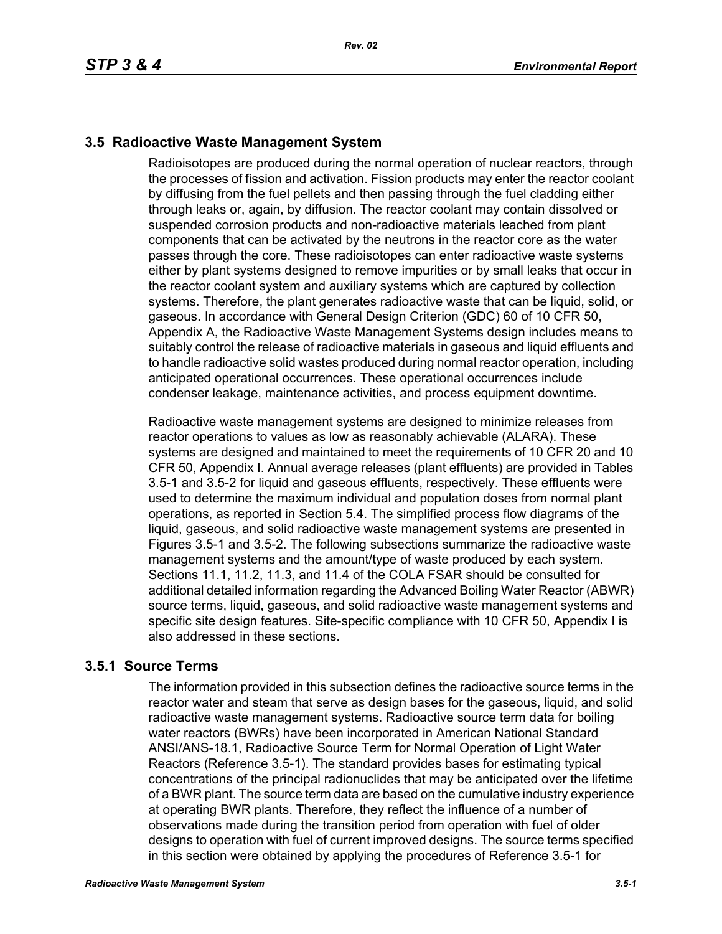## **3.5 Radioactive Waste Management System**

Radioisotopes are produced during the normal operation of nuclear reactors, through the processes of fission and activation. Fission products may enter the reactor coolant by diffusing from the fuel pellets and then passing through the fuel cladding either through leaks or, again, by diffusion. The reactor coolant may contain dissolved or suspended corrosion products and non-radioactive materials leached from plant components that can be activated by the neutrons in the reactor core as the water passes through the core. These radioisotopes can enter radioactive waste systems either by plant systems designed to remove impurities or by small leaks that occur in the reactor coolant system and auxiliary systems which are captured by collection systems. Therefore, the plant generates radioactive waste that can be liquid, solid, or gaseous. In accordance with General Design Criterion (GDC) 60 of 10 CFR 50, Appendix A, the Radioactive Waste Management Systems design includes means to suitably control the release of radioactive materials in gaseous and liquid effluents and to handle radioactive solid wastes produced during normal reactor operation, including anticipated operational occurrences. These operational occurrences include condenser leakage, maintenance activities, and process equipment downtime.

Radioactive waste management systems are designed to minimize releases from reactor operations to values as low as reasonably achievable (ALARA). These systems are designed and maintained to meet the requirements of 10 CFR 20 and 10 CFR 50, Appendix I. Annual average releases (plant effluents) are provided in Tables 3.5-1 and 3.5-2 for liquid and gaseous effluents, respectively. These effluents were used to determine the maximum individual and population doses from normal plant operations, as reported in Section 5.4. The simplified process flow diagrams of the liquid, gaseous, and solid radioactive waste management systems are presented in Figures 3.5-1 and 3.5-2. The following subsections summarize the radioactive waste management systems and the amount/type of waste produced by each system. Sections 11.1, 11.2, 11.3, and 11.4 of the COLA FSAR should be consulted for additional detailed information regarding the Advanced Boiling Water Reactor (ABWR) source terms, liquid, gaseous, and solid radioactive waste management systems and specific site design features. Site-specific compliance with 10 CFR 50, Appendix I is also addressed in these sections.

## **3.5.1 Source Terms**

The information provided in this subsection defines the radioactive source terms in the reactor water and steam that serve as design bases for the gaseous, liquid, and solid radioactive waste management systems. Radioactive source term data for boiling water reactors (BWRs) have been incorporated in American National Standard ANSI/ANS-18.1, Radioactive Source Term for Normal Operation of Light Water Reactors (Reference 3.5-1). The standard provides bases for estimating typical concentrations of the principal radionuclides that may be anticipated over the lifetime of a BWR plant. The source term data are based on the cumulative industry experience at operating BWR plants. Therefore, they reflect the influence of a number of observations made during the transition period from operation with fuel of older designs to operation with fuel of current improved designs. The source terms specified in this section were obtained by applying the procedures of Reference 3.5-1 for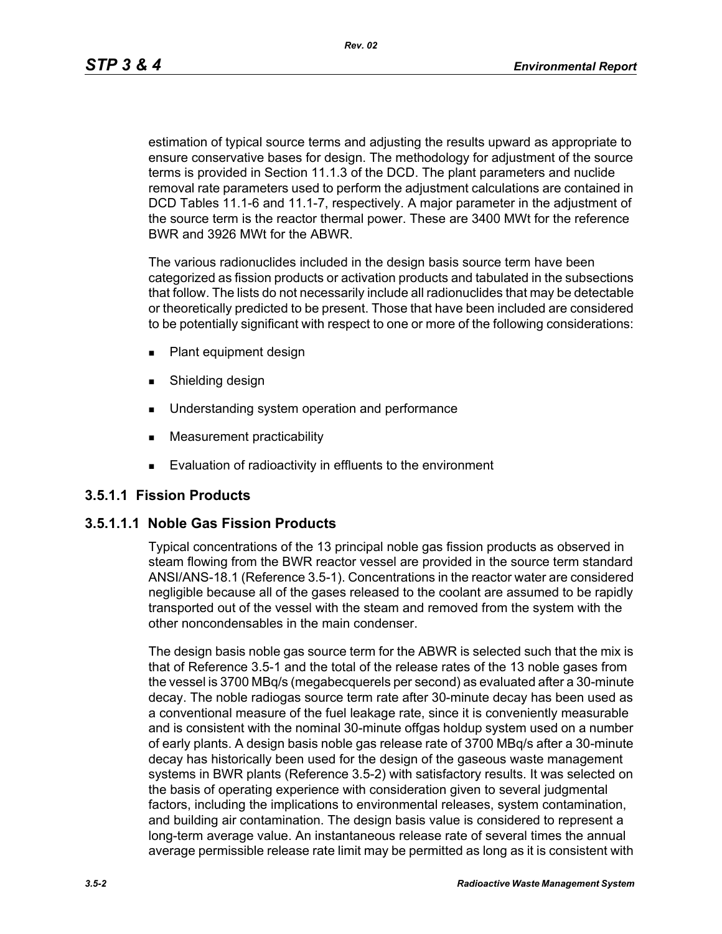*Rev. 02*

estimation of typical source terms and adjusting the results upward as appropriate to ensure conservative bases for design. The methodology for adjustment of the source terms is provided in Section 11.1.3 of the DCD. The plant parameters and nuclide removal rate parameters used to perform the adjustment calculations are contained in DCD Tables 11.1-6 and 11.1-7, respectively. A major parameter in the adjustment of the source term is the reactor thermal power. These are 3400 MWt for the reference BWR and 3926 MWt for the ABWR.

The various radionuclides included in the design basis source term have been categorized as fission products or activation products and tabulated in the subsections that follow. The lists do not necessarily include all radionuclides that may be detectable or theoretically predicted to be present. Those that have been included are considered to be potentially significant with respect to one or more of the following considerations:

- **Plant equipment design**
- **Burnelling design**
- **Understanding system operation and performance**
- **Measurement practicability**
- **Evaluation of radioactivity in effluents to the environment**

## **3.5.1.1 Fission Products**

## **3.5.1.1.1 Noble Gas Fission Products**

Typical concentrations of the 13 principal noble gas fission products as observed in steam flowing from the BWR reactor vessel are provided in the source term standard ANSI/ANS-18.1 (Reference 3.5-1). Concentrations in the reactor water are considered negligible because all of the gases released to the coolant are assumed to be rapidly transported out of the vessel with the steam and removed from the system with the other noncondensables in the main condenser.

The design basis noble gas source term for the ABWR is selected such that the mix is that of Reference 3.5-1 and the total of the release rates of the 13 noble gases from the vessel is 3700 MBq/s (megabecquerels per second) as evaluated after a 30-minute decay. The noble radiogas source term rate after 30-minute decay has been used as a conventional measure of the fuel leakage rate, since it is conveniently measurable and is consistent with the nominal 30-minute offgas holdup system used on a number of early plants. A design basis noble gas release rate of 3700 MBq/s after a 30-minute decay has historically been used for the design of the gaseous waste management systems in BWR plants (Reference 3.5-2) with satisfactory results. It was selected on the basis of operating experience with consideration given to several judgmental factors, including the implications to environmental releases, system contamination, and building air contamination. The design basis value is considered to represent a long-term average value. An instantaneous release rate of several times the annual average permissible release rate limit may be permitted as long as it is consistent with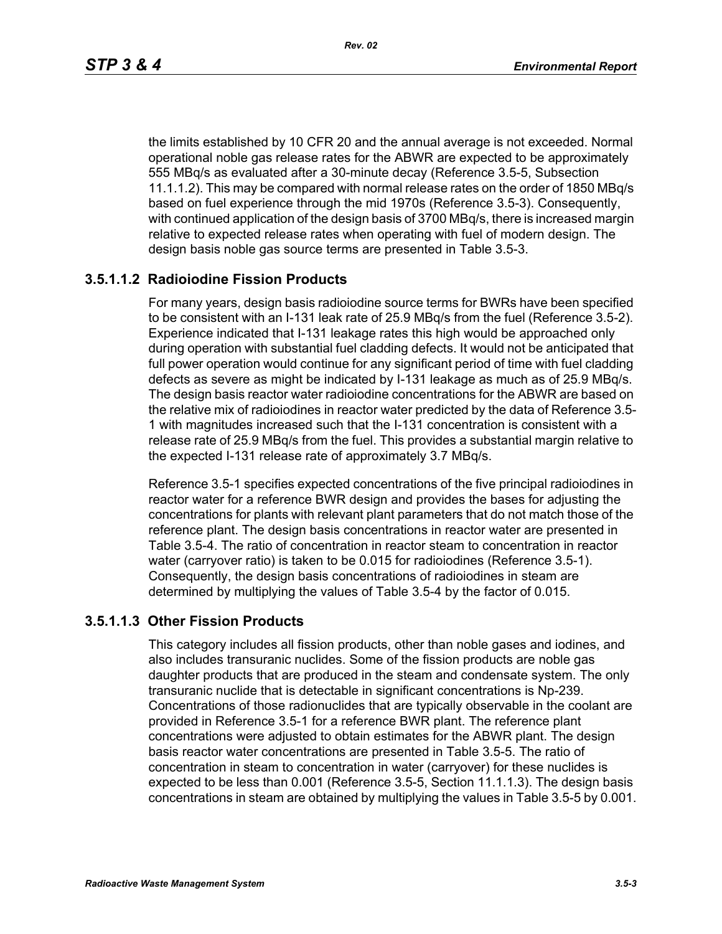the limits established by 10 CFR 20 and the annual average is not exceeded. Normal operational noble gas release rates for the ABWR are expected to be approximately 555 MBq/s as evaluated after a 30-minute decay (Reference 3.5-5, Subsection 11.1.1.2). This may be compared with normal release rates on the order of 1850 MBq/s based on fuel experience through the mid 1970s (Reference 3.5-3). Consequently, with continued application of the design basis of 3700 MBq/s, there is increased margin relative to expected release rates when operating with fuel of modern design. The design basis noble gas source terms are presented in Table 3.5-3.

## **3.5.1.1.2 Radioiodine Fission Products**

For many years, design basis radioiodine source terms for BWRs have been specified to be consistent with an I-131 leak rate of 25.9 MBq/s from the fuel (Reference 3.5-2). Experience indicated that I-131 leakage rates this high would be approached only during operation with substantial fuel cladding defects. It would not be anticipated that full power operation would continue for any significant period of time with fuel cladding defects as severe as might be indicated by I-131 leakage as much as of 25.9 MBq/s. The design basis reactor water radioiodine concentrations for the ABWR are based on the relative mix of radioiodines in reactor water predicted by the data of Reference 3.5- 1 with magnitudes increased such that the I-131 concentration is consistent with a release rate of 25.9 MBq/s from the fuel. This provides a substantial margin relative to the expected I-131 release rate of approximately 3.7 MBq/s.

Reference 3.5-1 specifies expected concentrations of the five principal radioiodines in reactor water for a reference BWR design and provides the bases for adjusting the concentrations for plants with relevant plant parameters that do not match those of the reference plant. The design basis concentrations in reactor water are presented in Table 3.5-4. The ratio of concentration in reactor steam to concentration in reactor water (carryover ratio) is taken to be 0.015 for radioiodines (Reference 3.5-1). Consequently, the design basis concentrations of radioiodines in steam are determined by multiplying the values of Table 3.5-4 by the factor of 0.015.

#### **3.5.1.1.3 Other Fission Products**

This category includes all fission products, other than noble gases and iodines, and also includes transuranic nuclides. Some of the fission products are noble gas daughter products that are produced in the steam and condensate system. The only transuranic nuclide that is detectable in significant concentrations is Np-239. Concentrations of those radionuclides that are typically observable in the coolant are provided in Reference 3.5-1 for a reference BWR plant. The reference plant concentrations were adjusted to obtain estimates for the ABWR plant. The design basis reactor water concentrations are presented in Table 3.5-5. The ratio of concentration in steam to concentration in water (carryover) for these nuclides is expected to be less than 0.001 (Reference 3.5-5, Section 11.1.1.3). The design basis concentrations in steam are obtained by multiplying the values in Table 3.5-5 by 0.001.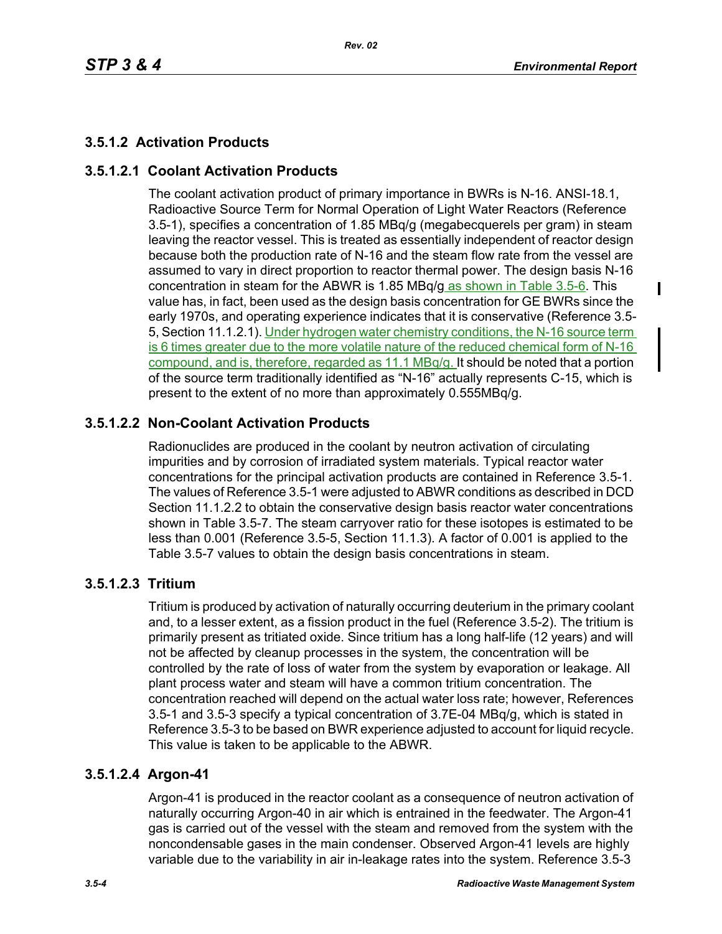$\blacksquare$ 

# **3.5.1.2 Activation Products**

## **3.5.1.2.1 Coolant Activation Products**

The coolant activation product of primary importance in BWRs is N-16. ANSI-18.1, Radioactive Source Term for Normal Operation of Light Water Reactors (Reference 3.5-1), specifies a concentration of 1.85 MBq/g (megabecquerels per gram) in steam leaving the reactor vessel. This is treated as essentially independent of reactor design because both the production rate of N-16 and the steam flow rate from the vessel are assumed to vary in direct proportion to reactor thermal power. The design basis N-16 concentration in steam for the ABWR is 1.85 MBq/g as shown in Table 3.5-6. This value has, in fact, been used as the design basis concentration for GE BWRs since the early 1970s, and operating experience indicates that it is conservative (Reference 3.5- 5, Section 11.1.2.1). Under hydrogen water chemistry conditions, the N-16 source term is 6 times greater due to the more volatile nature of the reduced chemical form of N-16 compound, and is, therefore, regarded as 11.1 MBq/g. It should be noted that a portion of the source term traditionally identified as "N-16" actually represents C-15, which is present to the extent of no more than approximately 0.555MBq/g.

## **3.5.1.2.2 Non-Coolant Activation Products**

Radionuclides are produced in the coolant by neutron activation of circulating impurities and by corrosion of irradiated system materials. Typical reactor water concentrations for the principal activation products are contained in Reference 3.5-1. The values of Reference 3.5-1 were adjusted to ABWR conditions as described in DCD Section 11.1.2.2 to obtain the conservative design basis reactor water concentrations shown in Table 3.5-7. The steam carryover ratio for these isotopes is estimated to be less than 0.001 (Reference 3.5-5, Section 11.1.3). A factor of 0.001 is applied to the Table 3.5-7 values to obtain the design basis concentrations in steam.

## **3.5.1.2.3 Tritium**

Tritium is produced by activation of naturally occurring deuterium in the primary coolant and, to a lesser extent, as a fission product in the fuel (Reference 3.5-2). The tritium is primarily present as tritiated oxide. Since tritium has a long half-life (12 years) and will not be affected by cleanup processes in the system, the concentration will be controlled by the rate of loss of water from the system by evaporation or leakage. All plant process water and steam will have a common tritium concentration. The concentration reached will depend on the actual water loss rate; however, References 3.5-1 and 3.5-3 specify a typical concentration of 3.7E-04 MBq/g, which is stated in Reference 3.5-3 to be based on BWR experience adjusted to account for liquid recycle. This value is taken to be applicable to the ABWR.

## **3.5.1.2.4 Argon-41**

Argon-41 is produced in the reactor coolant as a consequence of neutron activation of naturally occurring Argon-40 in air which is entrained in the feedwater. The Argon-41 gas is carried out of the vessel with the steam and removed from the system with the noncondensable gases in the main condenser. Observed Argon-41 levels are highly variable due to the variability in air in-leakage rates into the system. Reference 3.5-3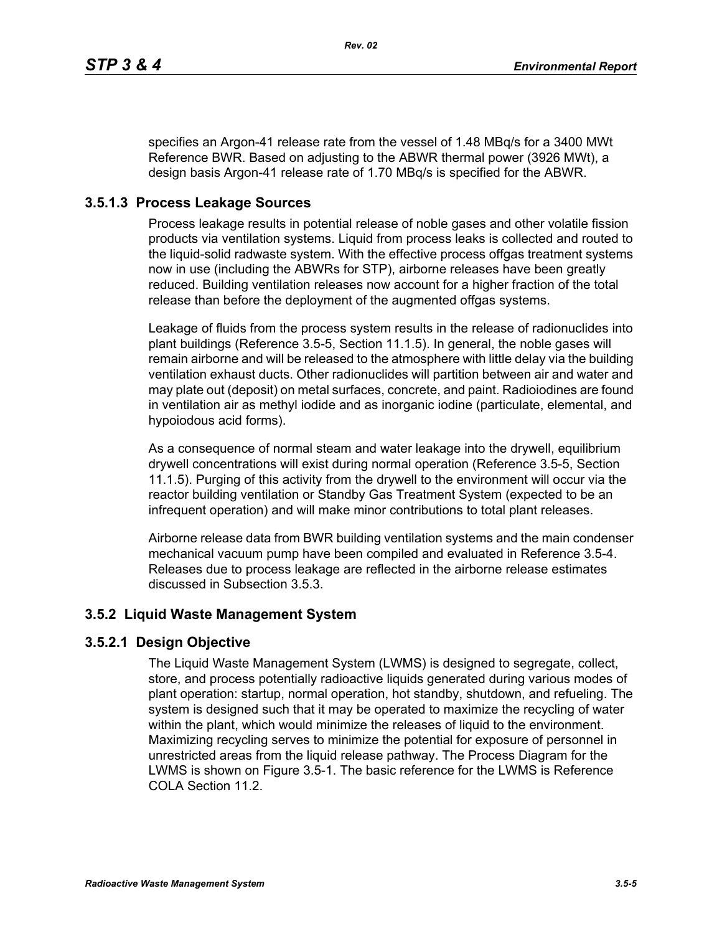specifies an Argon-41 release rate from the vessel of 1.48 MBq/s for a 3400 MWt Reference BWR. Based on adjusting to the ABWR thermal power (3926 MWt), a design basis Argon-41 release rate of 1.70 MBq/s is specified for the ABWR.

## **3.5.1.3 Process Leakage Sources**

Process leakage results in potential release of noble gases and other volatile fission products via ventilation systems. Liquid from process leaks is collected and routed to the liquid-solid radwaste system. With the effective process offgas treatment systems now in use (including the ABWRs for STP), airborne releases have been greatly reduced. Building ventilation releases now account for a higher fraction of the total release than before the deployment of the augmented offgas systems.

Leakage of fluids from the process system results in the release of radionuclides into plant buildings (Reference 3.5-5, Section 11.1.5). In general, the noble gases will remain airborne and will be released to the atmosphere with little delay via the building ventilation exhaust ducts. Other radionuclides will partition between air and water and may plate out (deposit) on metal surfaces, concrete, and paint. Radioiodines are found in ventilation air as methyl iodide and as inorganic iodine (particulate, elemental, and hypoiodous acid forms).

As a consequence of normal steam and water leakage into the drywell, equilibrium drywell concentrations will exist during normal operation (Reference 3.5-5, Section 11.1.5). Purging of this activity from the drywell to the environment will occur via the reactor building ventilation or Standby Gas Treatment System (expected to be an infrequent operation) and will make minor contributions to total plant releases.

Airborne release data from BWR building ventilation systems and the main condenser mechanical vacuum pump have been compiled and evaluated in Reference 3.5-4. Releases due to process leakage are reflected in the airborne release estimates discussed in Subsection 3.5.3.

## **3.5.2 Liquid Waste Management System**

## **3.5.2.1 Design Objective**

The Liquid Waste Management System (LWMS) is designed to segregate, collect, store, and process potentially radioactive liquids generated during various modes of plant operation: startup, normal operation, hot standby, shutdown, and refueling. The system is designed such that it may be operated to maximize the recycling of water within the plant, which would minimize the releases of liquid to the environment. Maximizing recycling serves to minimize the potential for exposure of personnel in unrestricted areas from the liquid release pathway. The Process Diagram for the LWMS is shown on Figure 3.5-1. The basic reference for the LWMS is Reference COLA Section 11.2.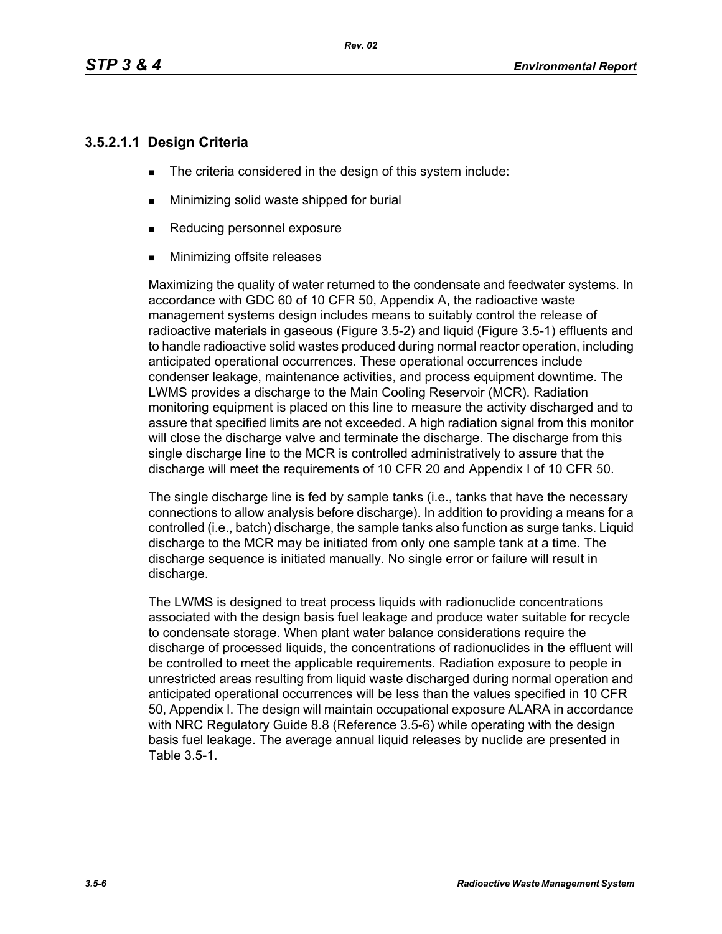## **3.5.2.1.1 Design Criteria**

- The criteria considered in the design of this system include:
- **Minimizing solid waste shipped for burial**
- Reducing personnel exposure
- **Minimizing offsite releases**

Maximizing the quality of water returned to the condensate and feedwater systems. In accordance with GDC 60 of 10 CFR 50, Appendix A, the radioactive waste management systems design includes means to suitably control the release of radioactive materials in gaseous (Figure 3.5-2) and liquid (Figure 3.5-1) effluents and to handle radioactive solid wastes produced during normal reactor operation, including anticipated operational occurrences. These operational occurrences include condenser leakage, maintenance activities, and process equipment downtime. The LWMS provides a discharge to the Main Cooling Reservoir (MCR). Radiation monitoring equipment is placed on this line to measure the activity discharged and to assure that specified limits are not exceeded. A high radiation signal from this monitor will close the discharge valve and terminate the discharge. The discharge from this single discharge line to the MCR is controlled administratively to assure that the discharge will meet the requirements of 10 CFR 20 and Appendix I of 10 CFR 50.

The single discharge line is fed by sample tanks (i.e., tanks that have the necessary connections to allow analysis before discharge). In addition to providing a means for a controlled (i.e., batch) discharge, the sample tanks also function as surge tanks. Liquid discharge to the MCR may be initiated from only one sample tank at a time. The discharge sequence is initiated manually. No single error or failure will result in discharge.

The LWMS is designed to treat process liquids with radionuclide concentrations associated with the design basis fuel leakage and produce water suitable for recycle to condensate storage. When plant water balance considerations require the discharge of processed liquids, the concentrations of radionuclides in the effluent will be controlled to meet the applicable requirements. Radiation exposure to people in unrestricted areas resulting from liquid waste discharged during normal operation and anticipated operational occurrences will be less than the values specified in 10 CFR 50, Appendix I. The design will maintain occupational exposure ALARA in accordance with NRC Regulatory Guide 8.8 (Reference 3.5-6) while operating with the design basis fuel leakage. The average annual liquid releases by nuclide are presented in Table 3.5-1.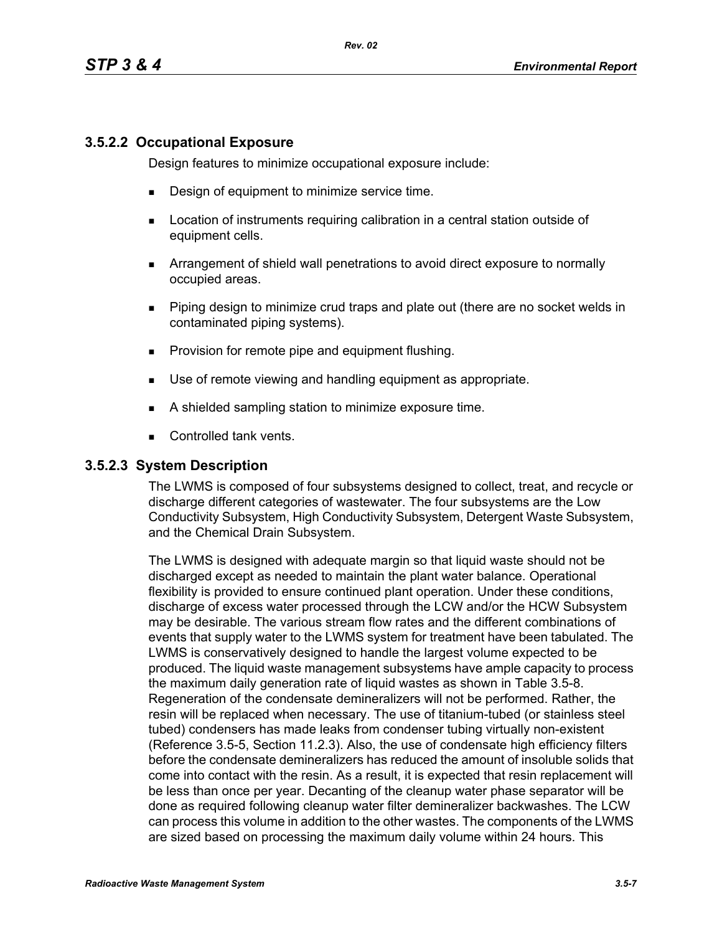## **3.5.2.2 Occupational Exposure**

Design features to minimize occupational exposure include:

- **Design of equipment to minimize service time.**
- **EXECT** Location of instruments requiring calibration in a central station outside of equipment cells.
- Arrangement of shield wall penetrations to avoid direct exposure to normally occupied areas.
- Piping design to minimize crud traps and plate out (there are no socket welds in contaminated piping systems).
- **Provision for remote pipe and equipment flushing.**
- Use of remote viewing and handling equipment as appropriate.
- A shielded sampling station to minimize exposure time.
- Controlled tank vents.

#### **3.5.2.3 System Description**

The LWMS is composed of four subsystems designed to collect, treat, and recycle or discharge different categories of wastewater. The four subsystems are the Low Conductivity Subsystem, High Conductivity Subsystem, Detergent Waste Subsystem, and the Chemical Drain Subsystem.

The LWMS is designed with adequate margin so that liquid waste should not be discharged except as needed to maintain the plant water balance. Operational flexibility is provided to ensure continued plant operation. Under these conditions, discharge of excess water processed through the LCW and/or the HCW Subsystem may be desirable. The various stream flow rates and the different combinations of events that supply water to the LWMS system for treatment have been tabulated. The LWMS is conservatively designed to handle the largest volume expected to be produced. The liquid waste management subsystems have ample capacity to process the maximum daily generation rate of liquid wastes as shown in Table 3.5-8. Regeneration of the condensate demineralizers will not be performed. Rather, the resin will be replaced when necessary. The use of titanium-tubed (or stainless steel tubed) condensers has made leaks from condenser tubing virtually non-existent (Reference 3.5-5, Section 11.2.3). Also, the use of condensate high efficiency filters before the condensate demineralizers has reduced the amount of insoluble solids that come into contact with the resin. As a result, it is expected that resin replacement will be less than once per year. Decanting of the cleanup water phase separator will be done as required following cleanup water filter demineralizer backwashes. The LCW can process this volume in addition to the other wastes. The components of the LWMS are sized based on processing the maximum daily volume within 24 hours. This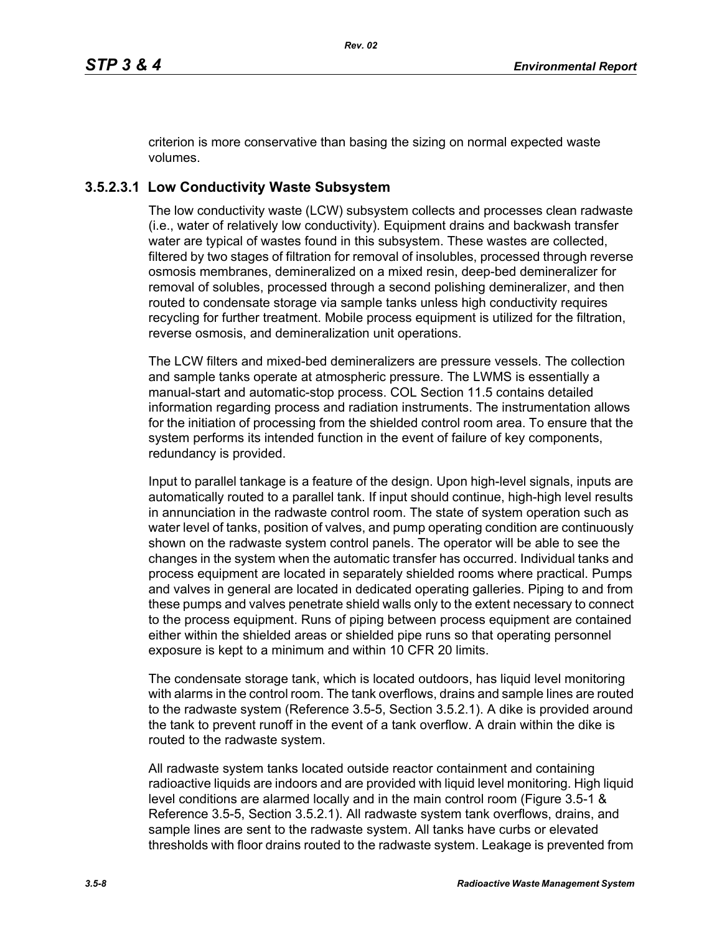criterion is more conservative than basing the sizing on normal expected waste volumes.

## **3.5.2.3.1 Low Conductivity Waste Subsystem**

The low conductivity waste (LCW) subsystem collects and processes clean radwaste (i.e., water of relatively low conductivity). Equipment drains and backwash transfer water are typical of wastes found in this subsystem. These wastes are collected, filtered by two stages of filtration for removal of insolubles, processed through reverse osmosis membranes, demineralized on a mixed resin, deep-bed demineralizer for removal of solubles, processed through a second polishing demineralizer, and then routed to condensate storage via sample tanks unless high conductivity requires recycling for further treatment. Mobile process equipment is utilized for the filtration, reverse osmosis, and demineralization unit operations.

The LCW filters and mixed-bed demineralizers are pressure vessels. The collection and sample tanks operate at atmospheric pressure. The LWMS is essentially a manual-start and automatic-stop process. COL Section 11.5 contains detailed information regarding process and radiation instruments. The instrumentation allows for the initiation of processing from the shielded control room area. To ensure that the system performs its intended function in the event of failure of key components, redundancy is provided.

Input to parallel tankage is a feature of the design. Upon high-level signals, inputs are automatically routed to a parallel tank. If input should continue, high-high level results in annunciation in the radwaste control room. The state of system operation such as water level of tanks, position of valves, and pump operating condition are continuously shown on the radwaste system control panels. The operator will be able to see the changes in the system when the automatic transfer has occurred. Individual tanks and process equipment are located in separately shielded rooms where practical. Pumps and valves in general are located in dedicated operating galleries. Piping to and from these pumps and valves penetrate shield walls only to the extent necessary to connect to the process equipment. Runs of piping between process equipment are contained either within the shielded areas or shielded pipe runs so that operating personnel exposure is kept to a minimum and within 10 CFR 20 limits.

The condensate storage tank, which is located outdoors, has liquid level monitoring with alarms in the control room. The tank overflows, drains and sample lines are routed to the radwaste system (Reference 3.5-5, Section 3.5.2.1). A dike is provided around the tank to prevent runoff in the event of a tank overflow. A drain within the dike is routed to the radwaste system.

All radwaste system tanks located outside reactor containment and containing radioactive liquids are indoors and are provided with liquid level monitoring. High liquid level conditions are alarmed locally and in the main control room (Figure 3.5-1 & Reference 3.5-5, Section 3.5.2.1). All radwaste system tank overflows, drains, and sample lines are sent to the radwaste system. All tanks have curbs or elevated thresholds with floor drains routed to the radwaste system. Leakage is prevented from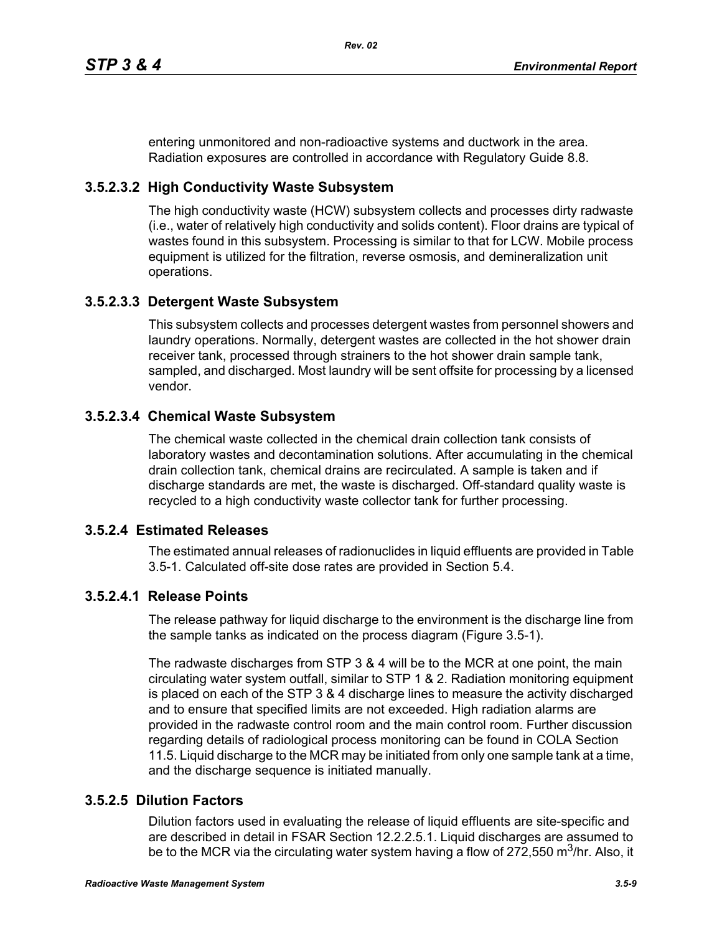entering unmonitored and non-radioactive systems and ductwork in the area. Radiation exposures are controlled in accordance with Regulatory Guide 8.8.

## **3.5.2.3.2 High Conductivity Waste Subsystem**

The high conductivity waste (HCW) subsystem collects and processes dirty radwaste (i.e., water of relatively high conductivity and solids content). Floor drains are typical of wastes found in this subsystem. Processing is similar to that for LCW. Mobile process equipment is utilized for the filtration, reverse osmosis, and demineralization unit operations.

## **3.5.2.3.3 Detergent Waste Subsystem**

This subsystem collects and processes detergent wastes from personnel showers and laundry operations. Normally, detergent wastes are collected in the hot shower drain receiver tank, processed through strainers to the hot shower drain sample tank, sampled, and discharged. Most laundry will be sent offsite for processing by a licensed vendor.

## **3.5.2.3.4 Chemical Waste Subsystem**

The chemical waste collected in the chemical drain collection tank consists of laboratory wastes and decontamination solutions. After accumulating in the chemical drain collection tank, chemical drains are recirculated. A sample is taken and if discharge standards are met, the waste is discharged. Off-standard quality waste is recycled to a high conductivity waste collector tank for further processing.

## **3.5.2.4 Estimated Releases**

The estimated annual releases of radionuclides in liquid effluents are provided in Table 3.5-1. Calculated off-site dose rates are provided in Section 5.4.

## **3.5.2.4.1 Release Points**

The release pathway for liquid discharge to the environment is the discharge line from the sample tanks as indicated on the process diagram (Figure 3.5-1).

The radwaste discharges from STP 3 & 4 will be to the MCR at one point, the main circulating water system outfall, similar to STP 1 & 2. Radiation monitoring equipment is placed on each of the STP 3 & 4 discharge lines to measure the activity discharged and to ensure that specified limits are not exceeded. High radiation alarms are provided in the radwaste control room and the main control room. Further discussion regarding details of radiological process monitoring can be found in COLA Section 11.5. Liquid discharge to the MCR may be initiated from only one sample tank at a time, and the discharge sequence is initiated manually.

## **3.5.2.5 Dilution Factors**

Dilution factors used in evaluating the release of liquid effluents are site-specific and are described in detail in FSAR Section 12.2.2.5.1. Liquid discharges are assumed to be to the MCR via the circulating water system having a flow of 272,550 m<sup>3</sup>/hr. Also, it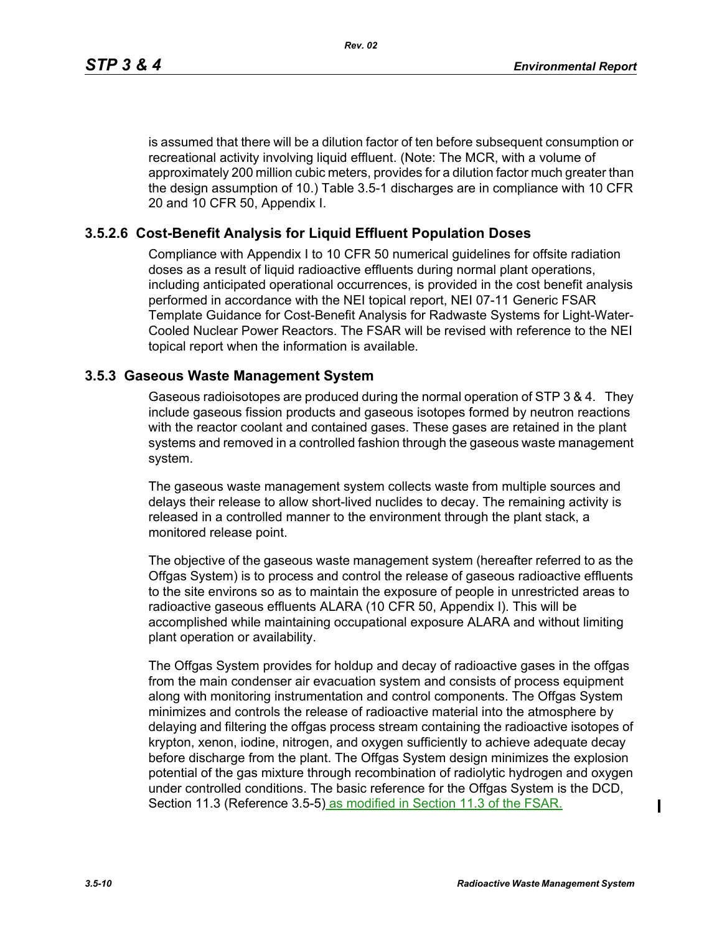is assumed that there will be a dilution factor of ten before subsequent consumption or recreational activity involving liquid effluent. (Note: The MCR, with a volume of approximately 200 million cubic meters, provides for a dilution factor much greater than the design assumption of 10.) Table 3.5-1 discharges are in compliance with 10 CFR 20 and 10 CFR 50, Appendix I.

## **3.5.2.6 Cost-Benefit Analysis for Liquid Effluent Population Doses**

Compliance with Appendix I to 10 CFR 50 numerical guidelines for offsite radiation doses as a result of liquid radioactive effluents during normal plant operations, including anticipated operational occurrences, is provided in the cost benefit analysis performed in accordance with the NEI topical report, NEI 07-11 Generic FSAR Template Guidance for Cost-Benefit Analysis for Radwaste Systems for Light-Water-Cooled Nuclear Power Reactors. The FSAR will be revised with reference to the NEI topical report when the information is available.

#### **3.5.3 Gaseous Waste Management System**

Gaseous radioisotopes are produced during the normal operation of STP 3 & 4. They include gaseous fission products and gaseous isotopes formed by neutron reactions with the reactor coolant and contained gases. These gases are retained in the plant systems and removed in a controlled fashion through the gaseous waste management system.

The gaseous waste management system collects waste from multiple sources and delays their release to allow short-lived nuclides to decay. The remaining activity is released in a controlled manner to the environment through the plant stack, a monitored release point.

The objective of the gaseous waste management system (hereafter referred to as the Offgas System) is to process and control the release of gaseous radioactive effluents to the site environs so as to maintain the exposure of people in unrestricted areas to radioactive gaseous effluents ALARA (10 CFR 50, Appendix I). This will be accomplished while maintaining occupational exposure ALARA and without limiting plant operation or availability.

The Offgas System provides for holdup and decay of radioactive gases in the offgas from the main condenser air evacuation system and consists of process equipment along with monitoring instrumentation and control components. The Offgas System minimizes and controls the release of radioactive material into the atmosphere by delaying and filtering the offgas process stream containing the radioactive isotopes of krypton, xenon, iodine, nitrogen, and oxygen sufficiently to achieve adequate decay before discharge from the plant. The Offgas System design minimizes the explosion potential of the gas mixture through recombination of radiolytic hydrogen and oxygen under controlled conditions. The basic reference for the Offgas System is the DCD, Section 11.3 (Reference 3.5-5) as modified in Section 11.3 of the FSAR.

П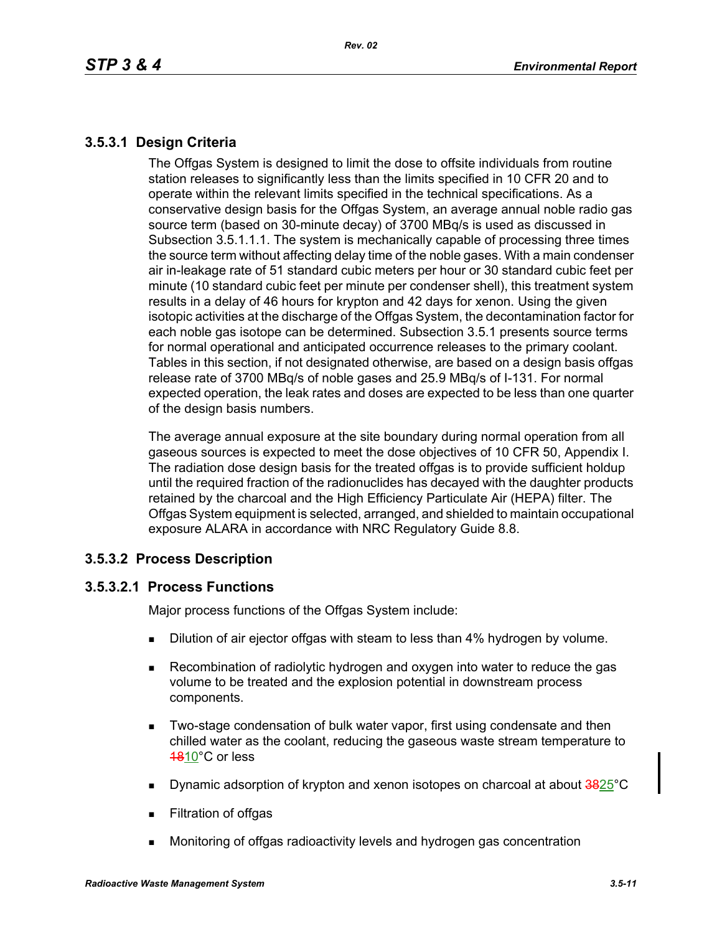## **3.5.3.1 Design Criteria**

The Offgas System is designed to limit the dose to offsite individuals from routine station releases to significantly less than the limits specified in 10 CFR 20 and to operate within the relevant limits specified in the technical specifications. As a conservative design basis for the Offgas System, an average annual noble radio gas source term (based on 30-minute decay) of 3700 MBq/s is used as discussed in Subsection 3.5.1.1.1. The system is mechanically capable of processing three times the source term without affecting delay time of the noble gases. With a main condenser air in-leakage rate of 51 standard cubic meters per hour or 30 standard cubic feet per minute (10 standard cubic feet per minute per condenser shell), this treatment system results in a delay of 46 hours for krypton and 42 days for xenon. Using the given isotopic activities at the discharge of the Offgas System, the decontamination factor for each noble gas isotope can be determined. Subsection 3.5.1 presents source terms for normal operational and anticipated occurrence releases to the primary coolant. Tables in this section, if not designated otherwise, are based on a design basis offgas release rate of 3700 MBq/s of noble gases and 25.9 MBq/s of I-131. For normal expected operation, the leak rates and doses are expected to be less than one quarter of the design basis numbers.

The average annual exposure at the site boundary during normal operation from all gaseous sources is expected to meet the dose objectives of 10 CFR 50, Appendix I. The radiation dose design basis for the treated offgas is to provide sufficient holdup until the required fraction of the radionuclides has decayed with the daughter products retained by the charcoal and the High Efficiency Particulate Air (HEPA) filter. The Offgas System equipment is selected, arranged, and shielded to maintain occupational exposure ALARA in accordance with NRC Regulatory Guide 8.8.

## **3.5.3.2 Process Description**

## **3.5.3.2.1 Process Functions**

Major process functions of the Offgas System include:

- **Dilution of air ejector offgas with steam to less than 4% hydrogen by volume.**
- Recombination of radiolytic hydrogen and oxygen into water to reduce the gas volume to be treated and the explosion potential in downstream process components.
- **Two-stage condensation of bulk water vapor, first using condensate and then** chilled water as the coolant, reducing the gaseous waste stream temperature to 1810°C or less
- **Dynamic adsorption of krypton and xenon isotopes on charcoal at about**  $\frac{3825}{3}$ **°C**
- **Filtration of offgas**
- Monitoring of offgas radioactivity levels and hydrogen gas concentration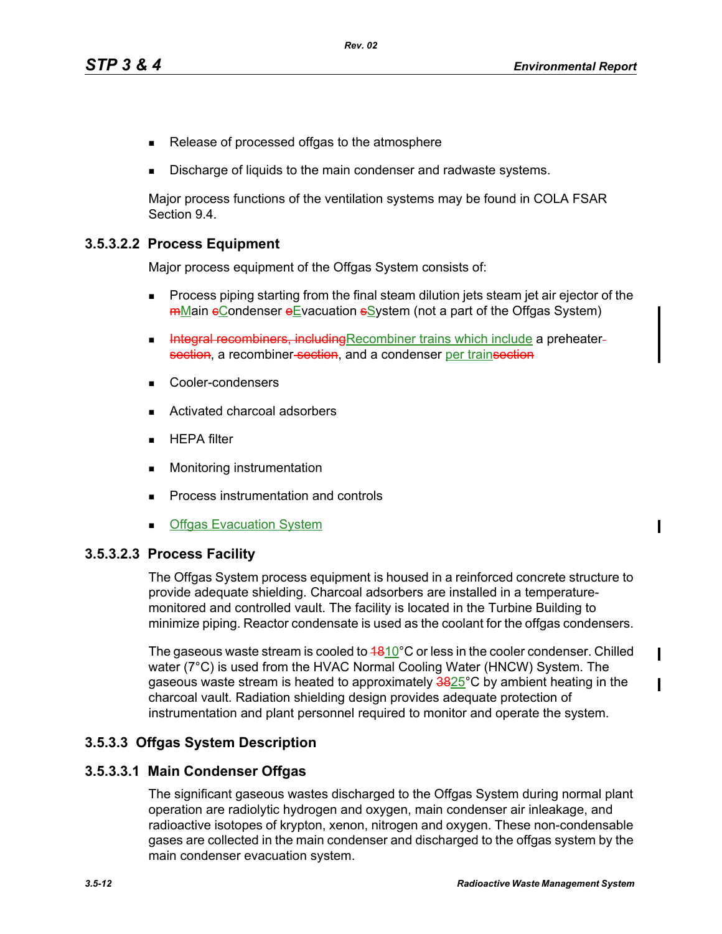Π

Π

П

- Release of processed offgas to the atmosphere
- Discharge of liquids to the main condenser and radwaste systems.

Major process functions of the ventilation systems may be found in COLA FSAR Section 9.4.

#### **3.5.3.2.2 Process Equipment**

Major process equipment of the Offgas System consists of:

- Process piping starting from the final steam dilution jets steam jet air ejector of the **mMain eCondenser eEvacuation sSystem (not a part of the Offgas System)**
- Integral recombiners, including Recombiner trains which include a preheatersection, a recombiner-section, and a condenser per trainsection
- Cooler-condensers
- Activated charcoal adsorbers
- $HEPA$  filter
- **Monitoring instrumentation**
- **Process instrumentation and controls**
- **Offgas Evacuation System**

#### **3.5.3.2.3 Process Facility**

The Offgas System process equipment is housed in a reinforced concrete structure to provide adequate shielding. Charcoal adsorbers are installed in a temperaturemonitored and controlled vault. The facility is located in the Turbine Building to minimize piping. Reactor condensate is used as the coolant for the offgas condensers.

The gaseous waste stream is cooled to  $4810^{\circ}$ C or less in the cooler condenser. Chilled water (7°C) is used from the HVAC Normal Cooling Water (HNCW) System. The gaseous waste stream is heated to approximately  $3825^{\circ}$ C by ambient heating in the charcoal vault. Radiation shielding design provides adequate protection of instrumentation and plant personnel required to monitor and operate the system.

#### **3.5.3.3 Offgas System Description**

#### **3.5.3.3.1 Main Condenser Offgas**

The significant gaseous wastes discharged to the Offgas System during normal plant operation are radiolytic hydrogen and oxygen, main condenser air inleakage, and radioactive isotopes of krypton, xenon, nitrogen and oxygen. These non-condensable gases are collected in the main condenser and discharged to the offgas system by the main condenser evacuation system.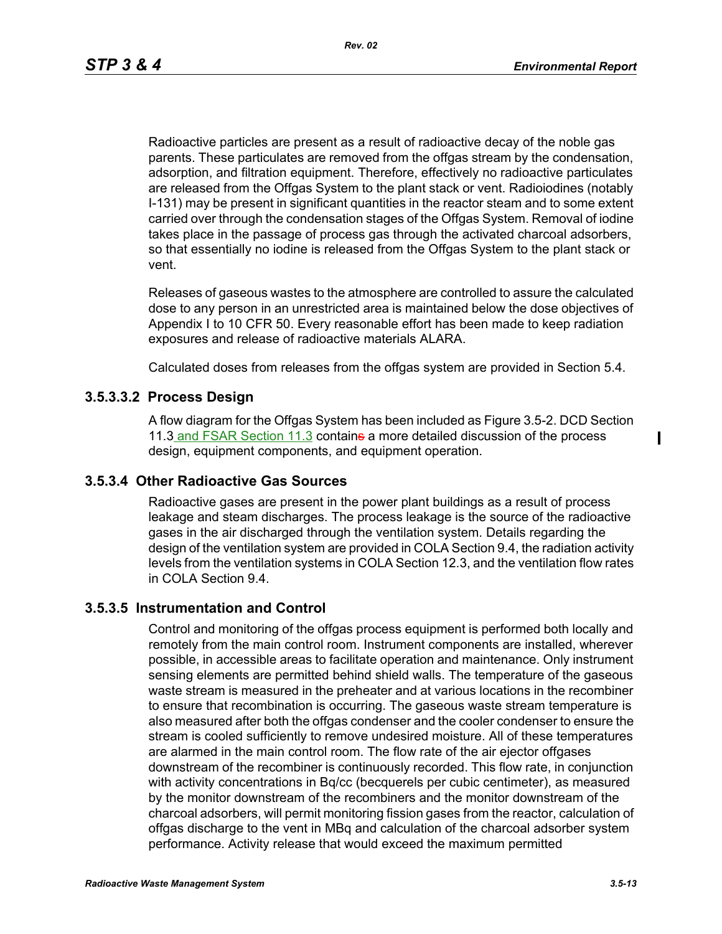Radioactive particles are present as a result of radioactive decay of the noble gas parents. These particulates are removed from the offgas stream by the condensation, adsorption, and filtration equipment. Therefore, effectively no radioactive particulates are released from the Offgas System to the plant stack or vent. Radioiodines (notably I-131) may be present in significant quantities in the reactor steam and to some extent carried over through the condensation stages of the Offgas System. Removal of iodine takes place in the passage of process gas through the activated charcoal adsorbers, so that essentially no iodine is released from the Offgas System to the plant stack or vent.

Releases of gaseous wastes to the atmosphere are controlled to assure the calculated dose to any person in an unrestricted area is maintained below the dose objectives of Appendix I to 10 CFR 50. Every reasonable effort has been made to keep radiation exposures and release of radioactive materials ALARA.

Calculated doses from releases from the offgas system are provided in Section 5.4.

#### **3.5.3.3.2 Process Design**

A flow diagram for the Offgas System has been included as Figure 3.5-2. DCD Section 11.3 and FSAR Section 11.3 containe a more detailed discussion of the process design, equipment components, and equipment operation.

#### **3.5.3.4 Other Radioactive Gas Sources**

Radioactive gases are present in the power plant buildings as a result of process leakage and steam discharges. The process leakage is the source of the radioactive gases in the air discharged through the ventilation system. Details regarding the design of the ventilation system are provided in COLA Section 9.4, the radiation activity levels from the ventilation systems in COLA Section 12.3, and the ventilation flow rates in COLA Section 9.4.

#### **3.5.3.5 Instrumentation and Control**

Control and monitoring of the offgas process equipment is performed both locally and remotely from the main control room. Instrument components are installed, wherever possible, in accessible areas to facilitate operation and maintenance. Only instrument sensing elements are permitted behind shield walls. The temperature of the gaseous waste stream is measured in the preheater and at various locations in the recombiner to ensure that recombination is occurring. The gaseous waste stream temperature is also measured after both the offgas condenser and the cooler condenser to ensure the stream is cooled sufficiently to remove undesired moisture. All of these temperatures are alarmed in the main control room. The flow rate of the air ejector offgases downstream of the recombiner is continuously recorded. This flow rate, in conjunction with activity concentrations in Bq/cc (becquerels per cubic centimeter), as measured by the monitor downstream of the recombiners and the monitor downstream of the charcoal adsorbers, will permit monitoring fission gases from the reactor, calculation of offgas discharge to the vent in MBq and calculation of the charcoal adsorber system performance. Activity release that would exceed the maximum permitted

 $\mathbf I$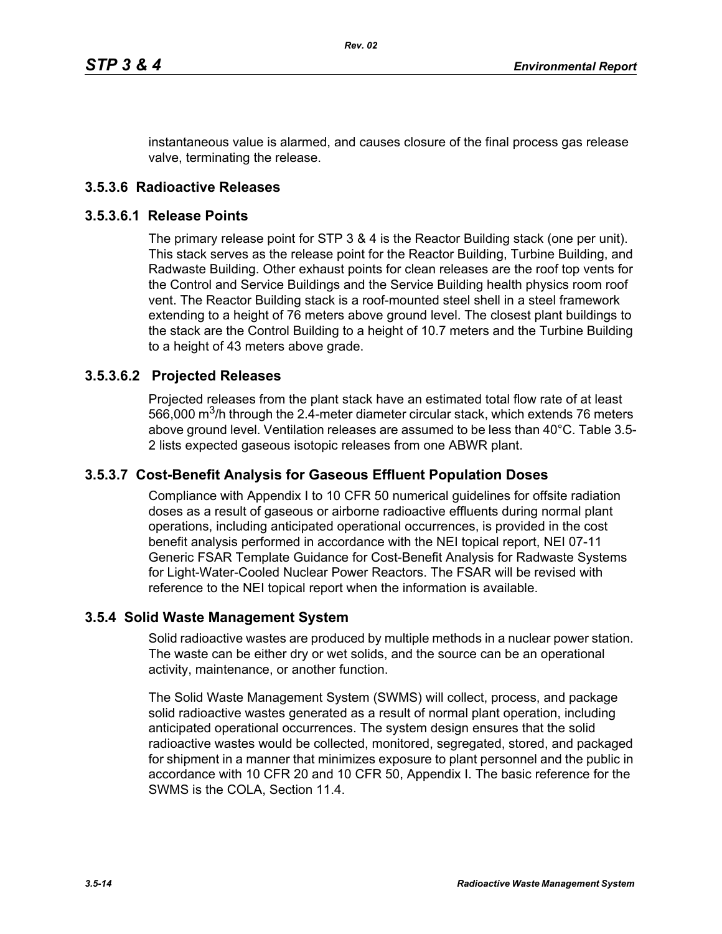instantaneous value is alarmed, and causes closure of the final process gas release valve, terminating the release.

#### **3.5.3.6 Radioactive Releases**

#### **3.5.3.6.1 Release Points**

The primary release point for STP 3 & 4 is the Reactor Building stack (one per unit). This stack serves as the release point for the Reactor Building, Turbine Building, and Radwaste Building. Other exhaust points for clean releases are the roof top vents for the Control and Service Buildings and the Service Building health physics room roof vent. The Reactor Building stack is a roof-mounted steel shell in a steel framework extending to a height of 76 meters above ground level. The closest plant buildings to the stack are the Control Building to a height of 10.7 meters and the Turbine Building to a height of 43 meters above grade.

#### **3.5.3.6.2 Projected Releases**

Projected releases from the plant stack have an estimated total flow rate of at least 566,000  $\mathrm{m}^3$ /h through the 2.4-meter diameter circular stack, which extends 76 meters above ground level. Ventilation releases are assumed to be less than 40°C. Table 3.5- 2 lists expected gaseous isotopic releases from one ABWR plant.

#### **3.5.3.7 Cost-Benefit Analysis for Gaseous Effluent Population Doses**

Compliance with Appendix I to 10 CFR 50 numerical guidelines for offsite radiation doses as a result of gaseous or airborne radioactive effluents during normal plant operations, including anticipated operational occurrences, is provided in the cost benefit analysis performed in accordance with the NEI topical report, NEI 07-11 Generic FSAR Template Guidance for Cost-Benefit Analysis for Radwaste Systems for Light-Water-Cooled Nuclear Power Reactors. The FSAR will be revised with reference to the NEI topical report when the information is available.

#### **3.5.4 Solid Waste Management System**

Solid radioactive wastes are produced by multiple methods in a nuclear power station. The waste can be either dry or wet solids, and the source can be an operational activity, maintenance, or another function.

The Solid Waste Management System (SWMS) will collect, process, and package solid radioactive wastes generated as a result of normal plant operation, including anticipated operational occurrences. The system design ensures that the solid radioactive wastes would be collected, monitored, segregated, stored, and packaged for shipment in a manner that minimizes exposure to plant personnel and the public in accordance with 10 CFR 20 and 10 CFR 50, Appendix I. The basic reference for the SWMS is the COLA, Section 11.4.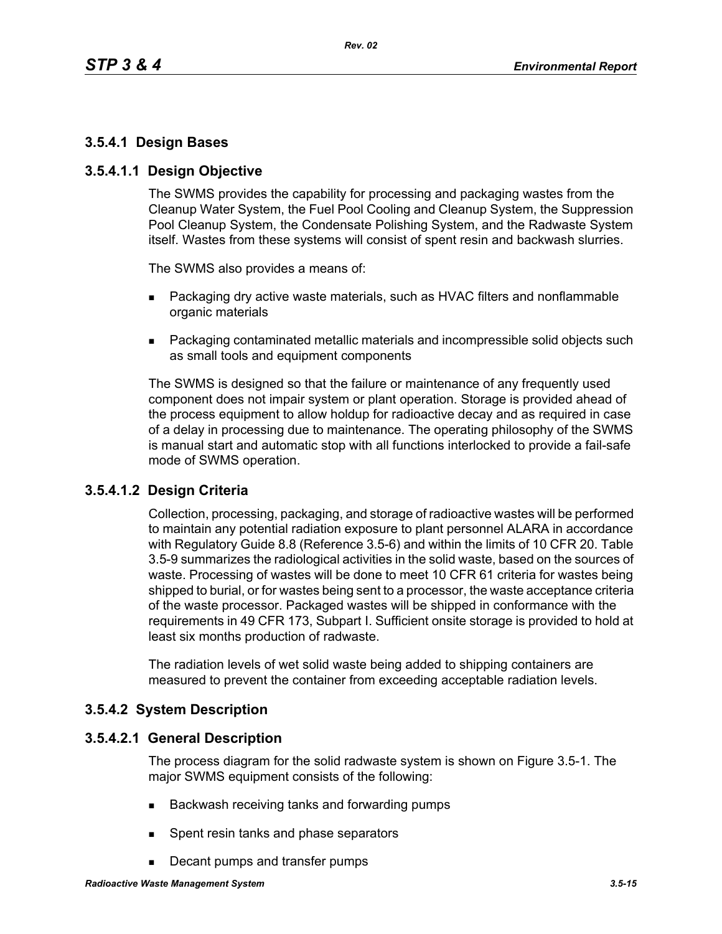## **3.5.4.1 Design Bases**

#### **3.5.4.1.1 Design Objective**

The SWMS provides the capability for processing and packaging wastes from the Cleanup Water System, the Fuel Pool Cooling and Cleanup System, the Suppression Pool Cleanup System, the Condensate Polishing System, and the Radwaste System itself. Wastes from these systems will consist of spent resin and backwash slurries.

The SWMS also provides a means of:

- **Packaging dry active waste materials, such as HVAC filters and nonflammable** organic materials
- Packaging contaminated metallic materials and incompressible solid objects such as small tools and equipment components

The SWMS is designed so that the failure or maintenance of any frequently used component does not impair system or plant operation. Storage is provided ahead of the process equipment to allow holdup for radioactive decay and as required in case of a delay in processing due to maintenance. The operating philosophy of the SWMS is manual start and automatic stop with all functions interlocked to provide a fail-safe mode of SWMS operation.

## **3.5.4.1.2 Design Criteria**

Collection, processing, packaging, and storage of radioactive wastes will be performed to maintain any potential radiation exposure to plant personnel ALARA in accordance with Regulatory Guide 8.8 (Reference 3.5-6) and within the limits of 10 CFR 20. Table 3.5-9 summarizes the radiological activities in the solid waste, based on the sources of waste. Processing of wastes will be done to meet 10 CFR 61 criteria for wastes being shipped to burial, or for wastes being sent to a processor, the waste acceptance criteria of the waste processor. Packaged wastes will be shipped in conformance with the requirements in 49 CFR 173, Subpart I. Sufficient onsite storage is provided to hold at least six months production of radwaste.

The radiation levels of wet solid waste being added to shipping containers are measured to prevent the container from exceeding acceptable radiation levels.

## **3.5.4.2 System Description**

#### **3.5.4.2.1 General Description**

The process diagram for the solid radwaste system is shown on Figure 3.5-1. The major SWMS equipment consists of the following:

- Backwash receiving tanks and forwarding pumps
- **Spent resin tanks and phase separators**
- Decant pumps and transfer pumps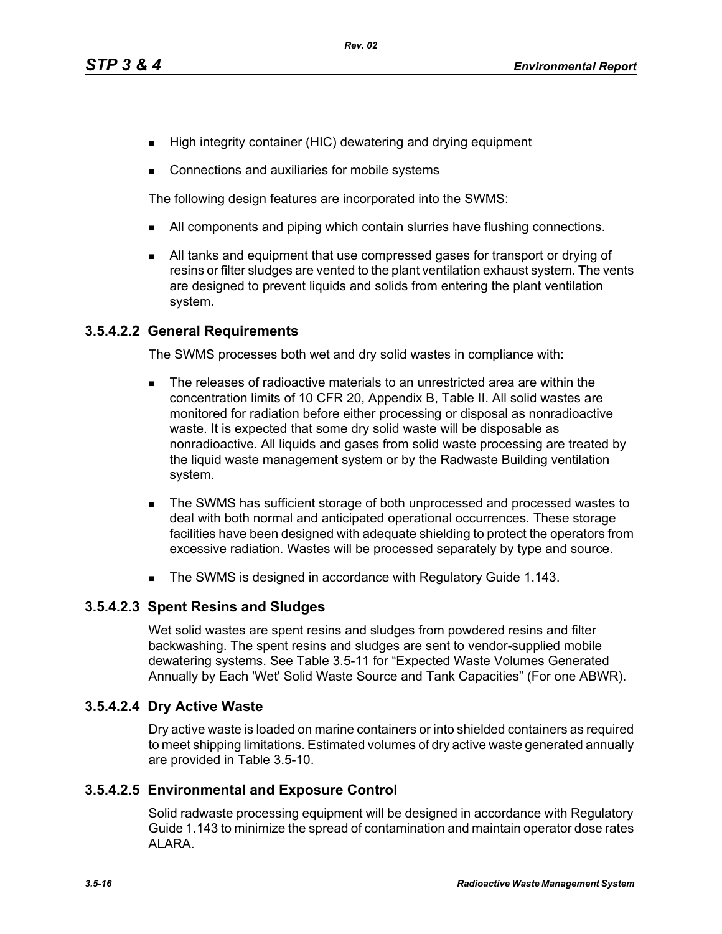- High integrity container (HIC) dewatering and drying equipment
- Connections and auxiliaries for mobile systems

The following design features are incorporated into the SWMS:

- I All components and piping which contain slurries have flushing connections.
- All tanks and equipment that use compressed gases for transport or drying of resins or filter sludges are vented to the plant ventilation exhaust system. The vents are designed to prevent liquids and solids from entering the plant ventilation system.

## **3.5.4.2.2 General Requirements**

The SWMS processes both wet and dry solid wastes in compliance with:

- The releases of radioactive materials to an unrestricted area are within the concentration limits of 10 CFR 20, Appendix B, Table II. All solid wastes are monitored for radiation before either processing or disposal as nonradioactive waste. It is expected that some dry solid waste will be disposable as nonradioactive. All liquids and gases from solid waste processing are treated by the liquid waste management system or by the Radwaste Building ventilation system.
- The SWMS has sufficient storage of both unprocessed and processed wastes to deal with both normal and anticipated operational occurrences. These storage facilities have been designed with adequate shielding to protect the operators from excessive radiation. Wastes will be processed separately by type and source.
- The SWMS is designed in accordance with Regulatory Guide 1.143.

## **3.5.4.2.3 Spent Resins and Sludges**

Wet solid wastes are spent resins and sludges from powdered resins and filter backwashing. The spent resins and sludges are sent to vendor-supplied mobile dewatering systems. See Table 3.5-11 for "Expected Waste Volumes Generated Annually by Each 'Wet' Solid Waste Source and Tank Capacities" (For one ABWR).

## **3.5.4.2.4 Dry Active Waste**

Dry active waste is loaded on marine containers or into shielded containers as required to meet shipping limitations. Estimated volumes of dry active waste generated annually are provided in Table 3.5-10.

## **3.5.4.2.5 Environmental and Exposure Control**

Solid radwaste processing equipment will be designed in accordance with Regulatory Guide 1.143 to minimize the spread of contamination and maintain operator dose rates ALARA.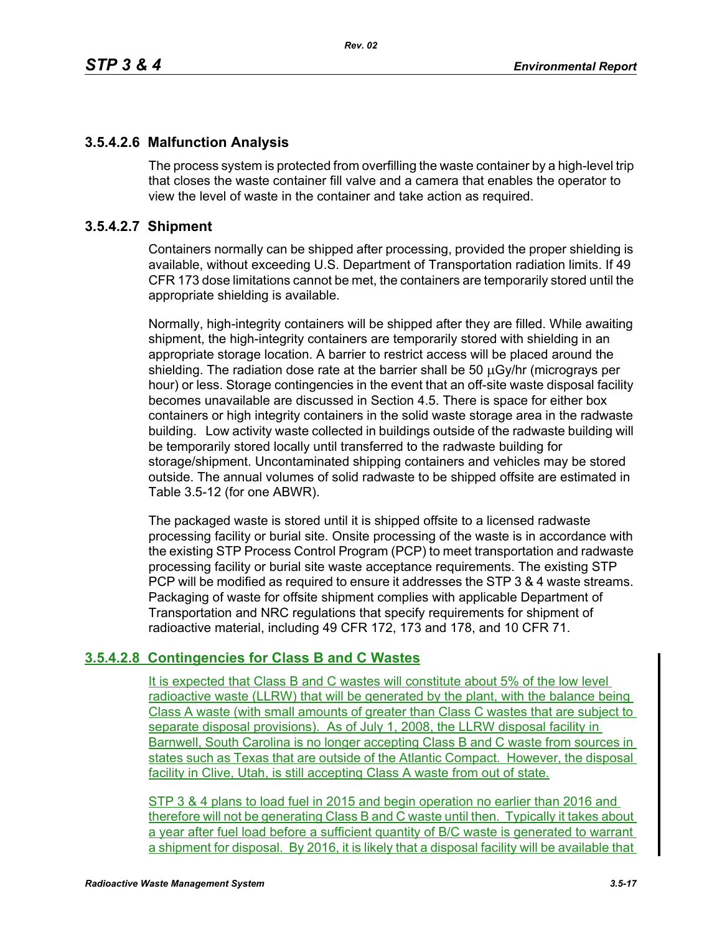## **3.5.4.2.6 Malfunction Analysis**

The process system is protected from overfilling the waste container by a high-level trip that closes the waste container fill valve and a camera that enables the operator to view the level of waste in the container and take action as required.

## **3.5.4.2.7 Shipment**

Containers normally can be shipped after processing, provided the proper shielding is available, without exceeding U.S. Department of Transportation radiation limits. If 49 CFR 173 dose limitations cannot be met, the containers are temporarily stored until the appropriate shielding is available.

Normally, high-integrity containers will be shipped after they are filled. While awaiting shipment, the high-integrity containers are temporarily stored with shielding in an appropriate storage location. A barrier to restrict access will be placed around the shielding. The radiation dose rate at the barrier shall be 50 μGy/hr (micrograys per hour) or less. Storage contingencies in the event that an off-site waste disposal facility becomes unavailable are discussed in Section 4.5. There is space for either box containers or high integrity containers in the solid waste storage area in the radwaste building. Low activity waste collected in buildings outside of the radwaste building will be temporarily stored locally until transferred to the radwaste building for storage/shipment. Uncontaminated shipping containers and vehicles may be stored outside. The annual volumes of solid radwaste to be shipped offsite are estimated in Table 3.5-12 (for one ABWR).

The packaged waste is stored until it is shipped offsite to a licensed radwaste processing facility or burial site. Onsite processing of the waste is in accordance with the existing STP Process Control Program (PCP) to meet transportation and radwaste processing facility or burial site waste acceptance requirements. The existing STP PCP will be modified as required to ensure it addresses the STP 3 & 4 waste streams. Packaging of waste for offsite shipment complies with applicable Department of Transportation and NRC regulations that specify requirements for shipment of radioactive material, including 49 CFR 172, 173 and 178, and 10 CFR 71.

## **3.5.4.2.8 Contingencies for Class B and C Wastes**

It is expected that Class B and C wastes will constitute about 5% of the low level radioactive waste (LLRW) that will be generated by the plant, with the balance being Class A waste (with small amounts of greater than Class C wastes that are subject to separate disposal provisions). As of July 1, 2008, the LLRW disposal facility in Barnwell, South Carolina is no longer accepting Class B and C waste from sources in states such as Texas that are outside of the Atlantic Compact. However, the disposal facility in Clive, Utah, is still accepting Class A waste from out of state.

STP 3 & 4 plans to load fuel in 2015 and begin operation no earlier than 2016 and therefore will not be generating Class B and C waste until then. Typically it takes about a year after fuel load before a sufficient quantity of B/C waste is generated to warrant a shipment for disposal. By 2016, it is likely that a disposal facility will be available that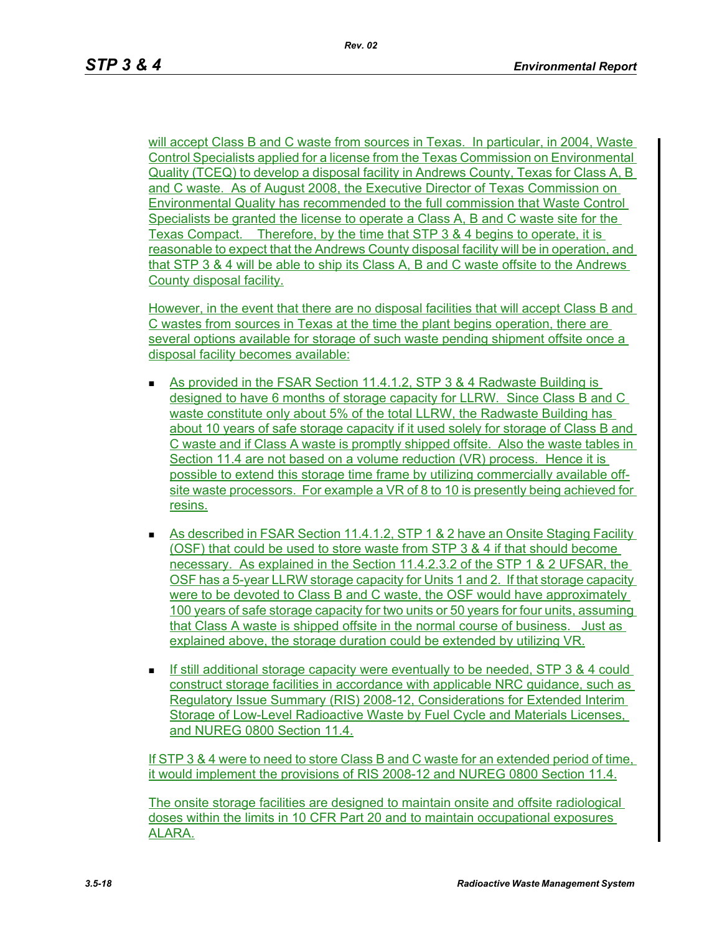will accept Class B and C waste from sources in Texas. In particular, in 2004, Waste Control Specialists applied for a license from the Texas Commission on Environmental Quality (TCEQ) to develop a disposal facility in Andrews County, Texas for Class A, B and C waste. As of August 2008, the Executive Director of Texas Commission on Environmental Quality has recommended to the full commission that Waste Control Specialists be granted the license to operate a Class A, B and C waste site for the Texas Compact. Therefore, by the time that STP 3 & 4 begins to operate, it is reasonable to expect that the Andrews County disposal facility will be in operation, and that STP 3 & 4 will be able to ship its Class A, B and C waste offsite to the Andrews County disposal facility.

However, in the event that there are no disposal facilities that will accept Class B and C wastes from sources in Texas at the time the plant begins operation, there are several options available for storage of such waste pending shipment offsite once a disposal facility becomes available:

- As provided in the FSAR Section 11.4.1.2, STP 3 & 4 Radwaste Building is designed to have 6 months of storage capacity for LLRW. Since Class B and C waste constitute only about 5% of the total LLRW, the Radwaste Building has about 10 years of safe storage capacity if it used solely for storage of Class B and C waste and if Class A waste is promptly shipped offsite. Also the waste tables in Section 11.4 are not based on a volume reduction (VR) process. Hence it is possible to extend this storage time frame by utilizing commercially available offsite waste processors. For example a VR of 8 to 10 is presently being achieved for resins.
- As described in FSAR Section 11.4.1.2, STP 1 & 2 have an Onsite Staging Facility (OSF) that could be used to store waste from STP 3 & 4 if that should become necessary. As explained in the Section 11.4.2.3.2 of the STP 1 & 2 UFSAR, the OSF has a 5-year LLRW storage capacity for Units 1 and 2. If that storage capacity were to be devoted to Class B and C waste, the OSF would have approximately 100 years of safe storage capacity for two units or 50 years for four units, assuming that Class A waste is shipped offsite in the normal course of business. Just as explained above, the storage duration could be extended by utilizing VR.
- If still additional storage capacity were eventually to be needed, STP 3  $\&$  4 could construct storage facilities in accordance with applicable NRC guidance, such as Regulatory Issue Summary (RIS) 2008-12, Considerations for Extended Interim Storage of Low-Level Radioactive Waste by Fuel Cycle and Materials Licenses, and NUREG 0800 Section 11.4.

If STP 3 & 4 were to need to store Class B and C waste for an extended period of time, it would implement the provisions of RIS 2008-12 and NUREG 0800 Section 11.4.

The onsite storage facilities are designed to maintain onsite and offsite radiological doses within the limits in 10 CFR Part 20 and to maintain occupational exposures ALARA.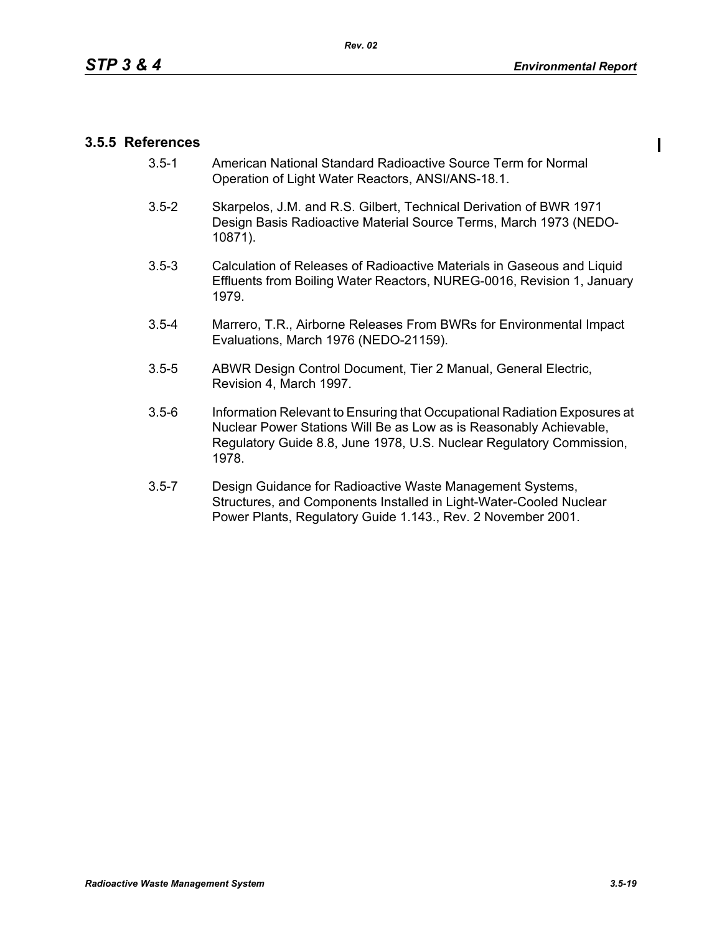## **3.5.5 References**

- 3.5-1 American National Standard Radioactive Source Term for Normal Operation of Light Water Reactors, ANSI/ANS-18.1.
- 3.5-2 Skarpelos, J.M. and R.S. Gilbert, Technical Derivation of BWR 1971 Design Basis Radioactive Material Source Terms, March 1973 (NEDO-10871).
- 3.5-3 Calculation of Releases of Radioactive Materials in Gaseous and Liquid Effluents from Boiling Water Reactors, NUREG-0016, Revision 1, January 1979.
- 3.5-4 Marrero, T.R., Airborne Releases From BWRs for Environmental Impact Evaluations, March 1976 (NEDO-21159).
- 3.5-5 ABWR Design Control Document, Tier 2 Manual, General Electric, Revision 4, March 1997.
- 3.5-6 Information Relevant to Ensuring that Occupational Radiation Exposures at Nuclear Power Stations Will Be as Low as is Reasonably Achievable, Regulatory Guide 8.8, June 1978, U.S. Nuclear Regulatory Commission, 1978.
- 3.5-7 Design Guidance for Radioactive Waste Management Systems, Structures, and Components Installed in Light-Water-Cooled Nuclear Power Plants, Regulatory Guide 1.143., Rev. 2 November 2001.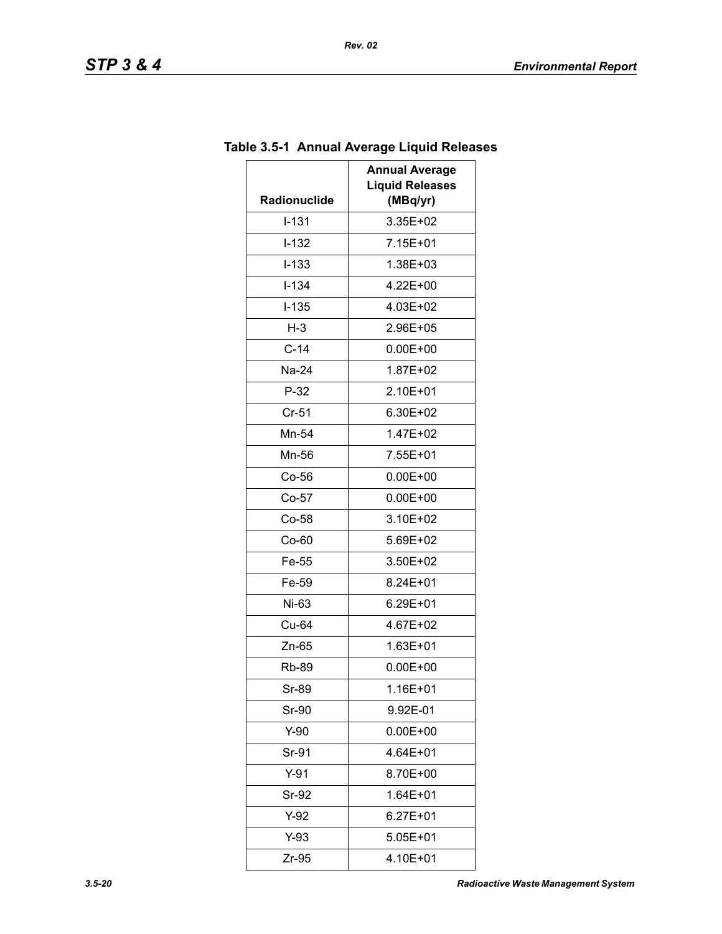| Radionuclide | <b>Annual Average</b><br><b>Liquid Releases</b><br>(MBq/yr) |
|--------------|-------------------------------------------------------------|
| $I-131$      | 3.35E+02                                                    |
| $I-132$      | 7.15E+01                                                    |
| $I - 133$    | 1.38E+03                                                    |
| $I - 134$    | 4.22E+00                                                    |
| $I-135$      | 4.03E+02                                                    |
| $H-3$        | 2.96E+05                                                    |
| $C-14$       | $0.00E + 00$                                                |
| Na-24        | 1.87E+02                                                    |
| $P-32$       | 2.10E+01                                                    |
| $Cr-51$      | 6.30E+02                                                    |
| Mn-54        | 1.47E+02                                                    |
| Mn-56        | 7.55E+01                                                    |
| $Co-56$      | $0.00E + 00$                                                |
| $Co-57$      | $0.00E + 00$                                                |
| $Co-58$      | 3.10E+02                                                    |
| Co-60        | 5.69E+02                                                    |
| Fe-55        | 3.50E+02                                                    |
| Fe-59        | 8.24E+01                                                    |
| Ni-63        | 6.29E+01                                                    |
| Cu-64        | 4.67E+02                                                    |
| $Zn-65$      | $1.63E + 01$                                                |
| Rb-89        | $0.00E + 00$                                                |
| Sr-89        | 1.16E+01                                                    |
| Sr-90        | 9.92E-01                                                    |
| $Y-90$       | $0.00E + 00$                                                |
| Sr-91        | 4.64E+01                                                    |
| $Y-91$       | 8.70E+00                                                    |
| Sr-92        | $1.64E + 01$                                                |
| $Y-92$       | $6.27E + 01$                                                |
| $Y-93$       | 5.05E+01                                                    |
| Zr-95        | 4.10E+01                                                    |

# **Table 3.5-1 Annual Average Liquid Releases**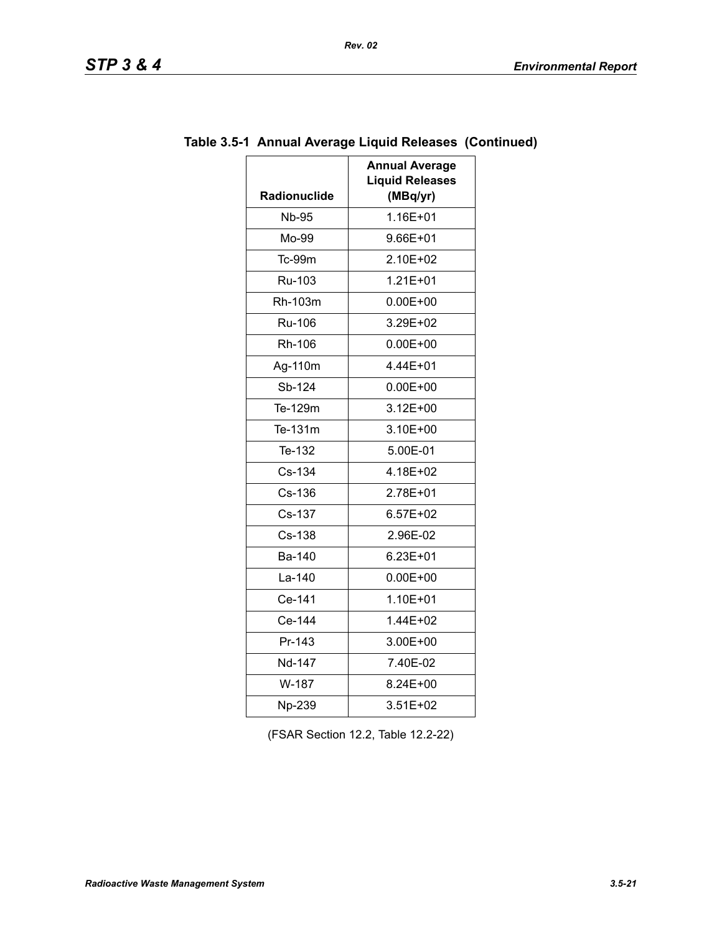| מדי<br>SIF |  | гv |  |  |
|------------|--|----|--|--|
|------------|--|----|--|--|

| <b>Radionuclide</b> | <b>Annual Average</b><br><b>Liquid Releases</b><br>(MBq/yr) |
|---------------------|-------------------------------------------------------------|
| <b>Nb-95</b>        | 1.16E+01                                                    |
| Mo-99               | 9.66E+01                                                    |
| Tc-99m              | 2.10E+02                                                    |
| Ru-103              | $1.21E + 01$                                                |
| Rh-103m             | $0.00E + 00$                                                |
| <b>Ru-106</b>       | 3.29E+02                                                    |
| Rh-106              | $0.00E + 00$                                                |
| Ag-110m             | 4.44E+01                                                    |
| Sb-124              | $0.00E + 00$                                                |
| Te-129m             | $3.12E + 00$                                                |
| Te-131m             | 3.10E+00                                                    |
| Te-132              | 5.00E-01                                                    |
| Cs-134              | 4.18E+02                                                    |
| Cs-136              | 2.78E+01                                                    |
| Cs-137              | $6.57E+02$                                                  |
| Cs-138              | 2.96E-02                                                    |
| <b>Ba-140</b>       | 6.23E+01                                                    |
| La-140              | $0.00E + 00$                                                |
| Ce-141              | 1.10E+01                                                    |
| Ce-144              | 1.44E+02                                                    |
| Pr-143              | 3.00E+00                                                    |
| Nd-147              | 7.40E-02                                                    |
| W-187               | 8.24E+00                                                    |
| Np-239              | 3.51E+02                                                    |

## **Table 3.5-1 Annual Average Liquid Releases (Continued)**

(FSAR Section 12.2, Table 12.2-22)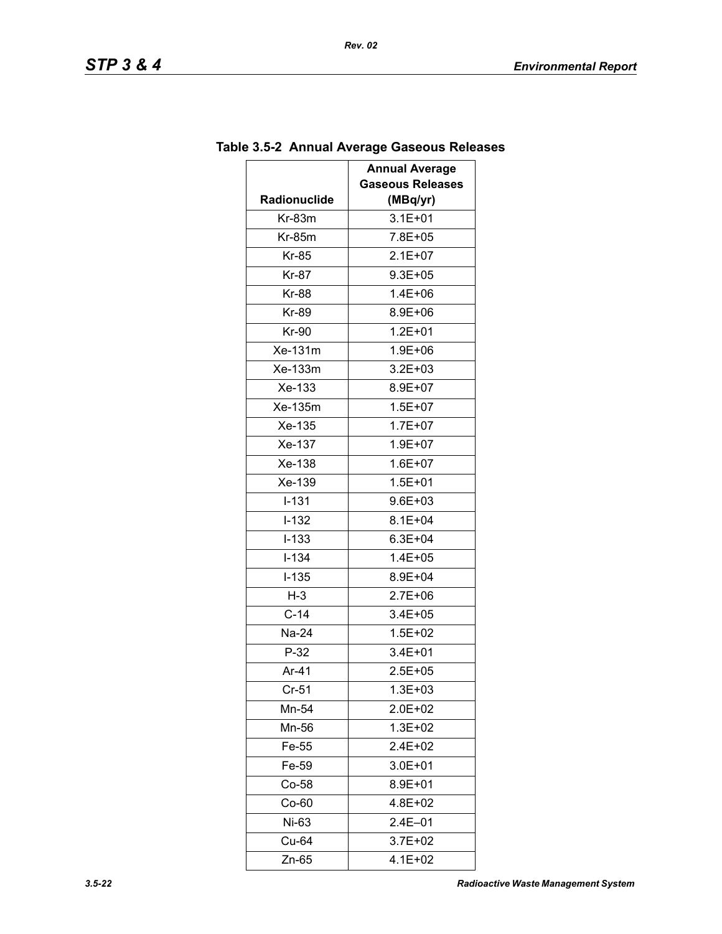| <b>Radionuclide</b> | <b>Annual Average</b><br><b>Gaseous Releases</b><br>(MBq/yr) |
|---------------------|--------------------------------------------------------------|
| $Kr-83m$            | $3.1E + 01$                                                  |
| $Kr-85m$            | 7.8E+05                                                      |
| Kr-85               | $2.1E + 07$                                                  |
| Kr-87               | $9.3E + 05$                                                  |
| <b>Kr-88</b>        | $1.4E + 06$                                                  |
| <b>Kr-89</b>        | 8.9E+06                                                      |
| Kr-90               | $1.2E + 01$                                                  |
| Xe-131m             | 1.9E+06                                                      |
| Xe-133m             | $3.2E + 03$                                                  |
| Xe-133              | 8.9E+07                                                      |
| Xe-135m             | $1.5E + 07$                                                  |
| Xe-135              | $1.7E + 07$                                                  |
| Xe-137              | $1.9E + 07$                                                  |
| Xe-138              | $1.6E + 07$                                                  |
| Xe-139              | $1.5E + 01$                                                  |
| $I - 131$           | $9.6E + 03$                                                  |
| $I-132$             | $8.1E + 04$                                                  |
| $I - 133$           | $6.3E + 04$                                                  |
| $I - 134$           | 1.4E+05                                                      |
| $I-135$             | 8.9E+04                                                      |
| $H-3$               | $2.7E + 06$                                                  |
| $C-14$              | 3.4E+05                                                      |
| Na-24               | 1.5E+02                                                      |
| $P-32$              | $3.4E + 01$                                                  |
| Ar-41               | $2.5E + 05$                                                  |
| $Cr-51$             | 1.3E+03                                                      |
| Mn-54               | 2.0E+02                                                      |
| Mn-56               | $1.3E + 02$                                                  |
| Fe-55               | 2.4E+02                                                      |
| Fe-59               | 3.0E+01                                                      |
| $Co-58$             | 8.9E+01                                                      |
| $Co-60$             | 4.8E+02                                                      |
| Ni-63               | $2.4E - 01$                                                  |
| Cu-64               | 3.7E+02                                                      |
| Zn-65               | 4.1E+02                                                      |

# **Table 3.5-2 Annual Average Gaseous Releases**

*Rev. 02*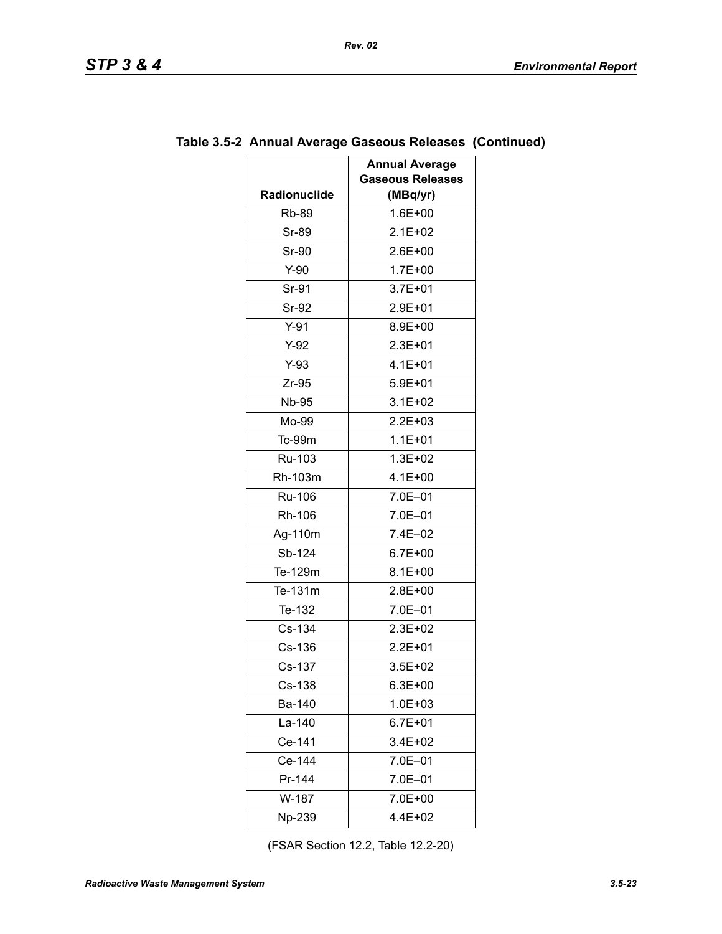|              | <b>Annual Average</b><br><b>Gaseous Releases</b> |
|--------------|--------------------------------------------------|
| Radionuclide | (MBq/yr)                                         |
| <b>Rb-89</b> | $1.6E + 00$                                      |
| Sr-89        | $2.1E + 02$                                      |
| Sr-90        | $2.6E + 00$                                      |
| $Y-90$       | 1.7E+00                                          |
| Sr-91        | $3.7E + 01$                                      |
| Sr-92        | 2.9E+01                                          |
| $Y-91$       | 8.9E+00                                          |
| $Y-92$       | $2.3E + 01$                                      |
| $Y-93$       | 4.1E+01                                          |
| $Zr-95$      | $5.9E + 01$                                      |
| <b>Nb-95</b> | $3.1E + 02$                                      |
| Mo-99        | $2.2E + 03$                                      |
| Tc-99m       | $1.1E + 01$                                      |
| Ru-103       | $1.3E + 02$                                      |
| Rh-103m      | $4.1E + 00$                                      |
| Ru-106       | 7.0E-01                                          |
| Rh-106       | 7.0E-01                                          |
| Ag-110m      | 7.4E-02                                          |
| Sb-124       | 6.7E+00                                          |
| Te-129m      | $8.1E + 00$                                      |
| Te-131m      | $2.8E + 00$                                      |
| Te-132       | 7.0E-01                                          |
| $Cs-134$     | 2.3E+02                                          |
| Cs-136       | $2.2E + 01$                                      |
| Cs-137       | $3.5E + 02$                                      |
| Cs-138       | $6.3E + 00$                                      |
| Ba-140       | $1.0E + 03$                                      |
| La-140       | $6.7E + 01$                                      |
| Ce-141       | 3.4E+02                                          |
| Ce-144       | 7.0E-01                                          |
| Pr-144       | 7.0E-01                                          |
| W-187        | 7.0E+00                                          |
| Np-239       | 4.4E+02                                          |

## **Table 3.5-2 Annual Average Gaseous Releases (Continued)**

*Rev. 02*

(FSAR Section 12.2, Table 12.2-20)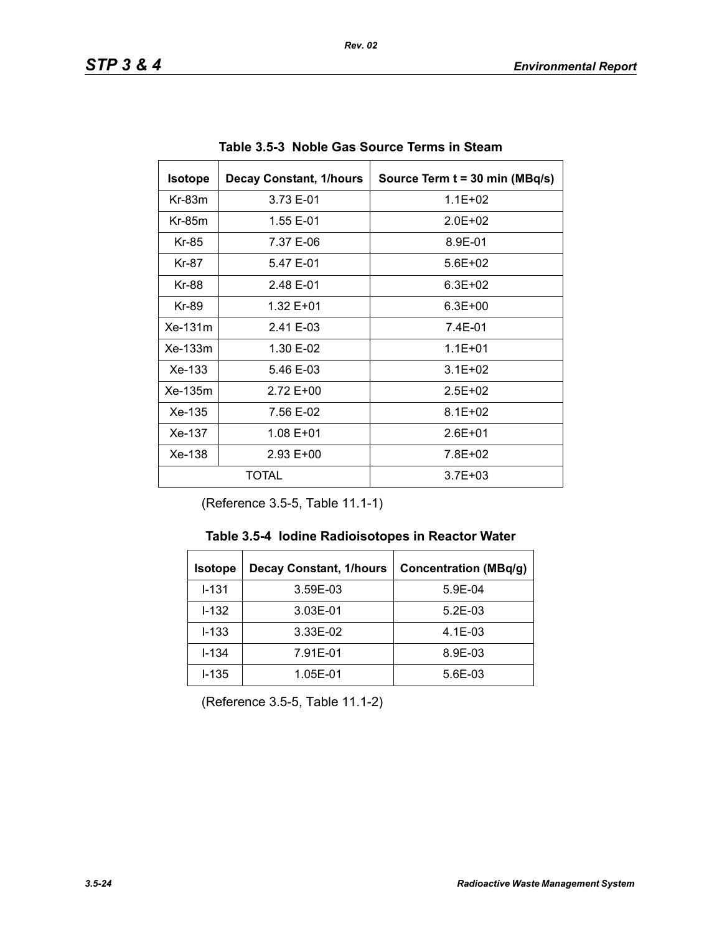| <b>Isotope</b><br><b>Decay Constant, 1/hours</b> |           | Source Term t = 30 min (MBq/s) |
|--------------------------------------------------|-----------|--------------------------------|
| $Kr-83m$                                         | 3.73 E-01 | $1.1E + 02$                    |
| $Kr-85m$                                         | 1.55 E-01 | $2.0F + 02$                    |
| Kr-85                                            | 7.37 E-06 | 8.9E-01                        |
| Kr-87                                            | 5.47 E-01 | $5.6E + 02$                    |
| Kr-88                                            | 2.48 E-01 | $6.3E + 02$                    |
| Kr-89<br>1.32 E+01                               |           | $6.3E + 00$                    |
| Xe-131m                                          | 2.41 E-03 | 7.4E-01                        |
| $Xe-133m$<br>1.30 E-02                           |           | $1.1E + 01$                    |
| $Xe-133$                                         | 5.46 E-03 | $3.1E + 02$                    |
| Xe-135m                                          | 2.72 E+00 | $2.5E + 02$                    |
| Xe-135<br>7.56 E-02                              |           | $8.1E + 02$                    |
| Xe-137<br>1.08 E+01                              |           | $2.6E + 01$                    |
| Xe-138<br>$2.93 E+00$                            |           | 7.8E+02                        |
| TOTAL                                            |           | $3.7E + 03$                    |

**Table 3.5-3 Noble Gas Source Terms in Steam** 

(Reference 3.5-5, Table 11.1-1)

| <b>Isotope</b> | <b>Decay Constant, 1/hours</b> | <b>Concentration (MBq/g)</b> |
|----------------|--------------------------------|------------------------------|
| $1 - 131$      | 3.59E-03                       | 5.9E-04                      |
| $1 - 132$      | 3.03E-01                       | $5.2E-03$                    |
| $I - 133$      | 3.33E-02                       | $4.1E-03$                    |
| $I - 134$      | 7.91E-01                       | 8.9E-03                      |
| $I - 135$      | 1.05E-01                       | 5.6E-03                      |

(Reference 3.5-5, Table 11.1-2)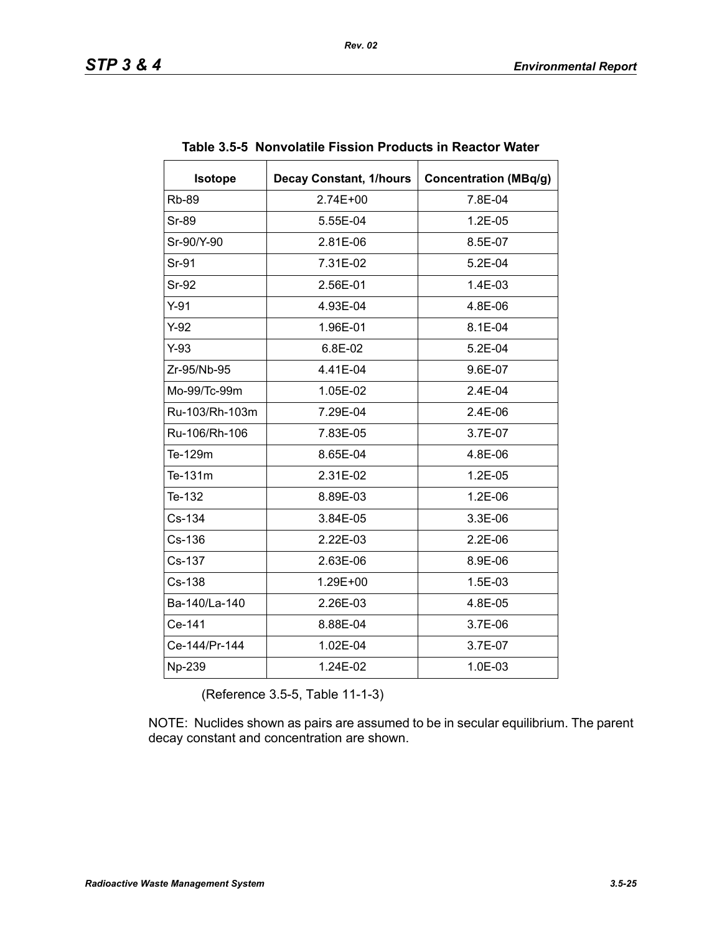| <b>Isotope</b> | <b>Decay Constant, 1/hours</b> | <b>Concentration (MBq/g)</b> |
|----------------|--------------------------------|------------------------------|
| <b>Rb-89</b>   | 2.74E+00                       | 7.8E-04                      |
| Sr-89          | 5.55E-04                       | 1.2E-05                      |
| Sr-90/Y-90     | 2.81E-06                       | 8.5E-07                      |
| Sr-91          | 7.31E-02                       | $5.2E-04$                    |
| <b>Sr-92</b>   | 2.56E-01                       | 1.4E-03                      |
| $Y-91$         | 4.93E-04                       | 4.8E-06                      |
| $Y-92$         | 1.96E-01                       | 8.1E-04                      |
| $Y-93$         | 6.8E-02                        | 5.2E-04                      |
| Zr-95/Nb-95    | 4.41E-04                       | 9.6E-07                      |
| Mo-99/Tc-99m   | 1.05E-02                       | 2.4E-04                      |
| Ru-103/Rh-103m | 7.29E-04                       | 2.4E-06                      |
| Ru-106/Rh-106  | 7.83E-05                       | 3.7E-07                      |
| Te-129m        | 8.65E-04                       | 4.8E-06                      |
| Te-131m        | 2.31E-02                       | 1.2E-05                      |
| Te-132         | 8.89E-03                       | 1.2E-06                      |
| Cs-134         | 3.84E-05                       | 3.3E-06                      |
| Cs-136         | 2.22E-03                       | $2.2E-06$                    |
| Cs-137         | 2.63E-06                       | 8.9E-06                      |
| Cs-138         | 1.29E+00                       | 1.5E-03                      |
| Ba-140/La-140  | 2.26E-03                       | 4.8E-05                      |
| Ce-141         | 8.88E-04                       | 3.7E-06                      |
| Ce-144/Pr-144  | 1.02E-04                       | 3.7E-07                      |
| Np-239         | 1.24E-02                       | 1.0E-03                      |

#### **Table 3.5-5 Nonvolatile Fission Products in Reactor Water**

(Reference 3.5-5, Table 11-1-3)

NOTE: Nuclides shown as pairs are assumed to be in secular equilibrium. The parent decay constant and concentration are shown.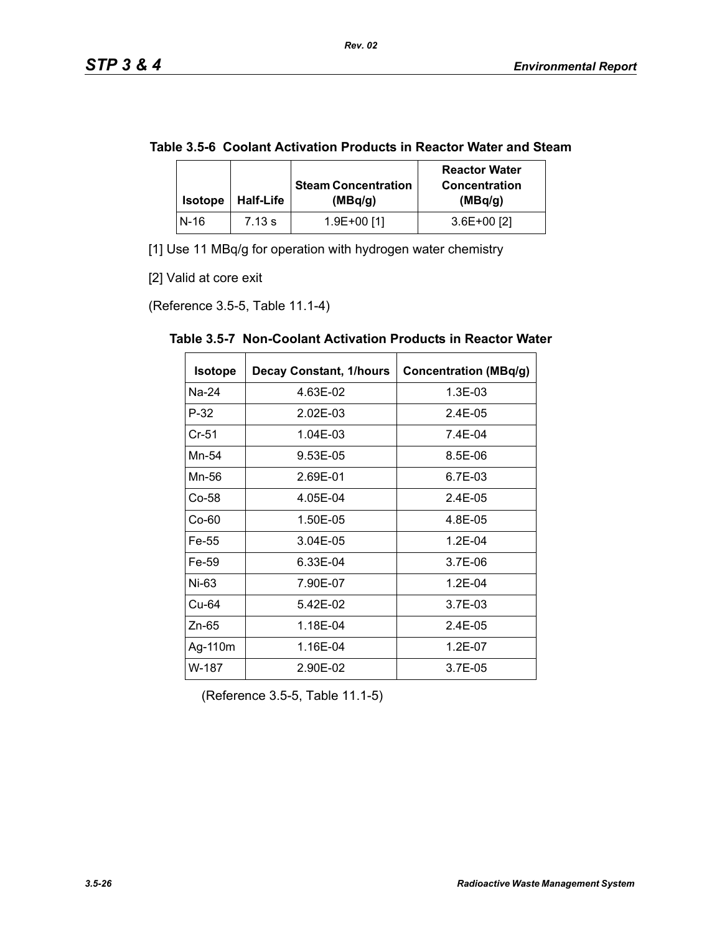|  | Table 3.5-6 Coolant Activation Products in Reactor Water and Steam |
|--|--------------------------------------------------------------------|
|--|--------------------------------------------------------------------|

| <b>Isotope</b> | <b>Half-Life</b> | <b>Steam Concentration</b><br>(MBq/q) | <b>Reactor Water</b><br><b>Concentration</b><br>(MBq/g) |
|----------------|------------------|---------------------------------------|---------------------------------------------------------|
| N-16           | 7.13 s           | 1.9E+00 [1]                           | $3.6E+00$ [2]                                           |

[1] Use 11 MBq/g for operation with hydrogen water chemistry

[2] Valid at core exit

(Reference 3.5-5, Table 11.1-4)

| <b>Isotope</b> | <b>Decay Constant, 1/hours</b> | <b>Concentration (MBq/g)</b> |
|----------------|--------------------------------|------------------------------|
| Na-24          | 4.63E-02                       | 1.3E-03                      |
| $P-32$         | 2.02E-03                       | $2.4E-0.5$                   |
| $Cr-51$        | 1.04E-03                       | 7.4E-04                      |
| Mn-54          | 9.53E-05                       | 8.5E-06                      |
| Mn-56          | 2.69E-01                       | 6.7E-03                      |
| Co-58          | 4.05E-04                       | $2.4E-0.5$                   |
| $Co-60$        | 1.50E-05                       | 4.8E-05                      |
| Fe-55          | 3.04E-05                       | $1.2E - 04$                  |
| Fe-59          | 6.33E-04                       | 3.7E-06                      |
| Ni-63          | 7.90E-07                       | $1.2E - 04$                  |
| Cu-64          | 5.42E-02                       | 3.7E-03                      |
| $Zn-65$        | 1.18E-04                       | 2.4E-05                      |
| Ag-110m        | 1.16E-04                       | 1.2E-07                      |
| W-187          | 2.90E-02                       | 3.7E-05                      |

**Table 3.5-7 Non-Coolant Activation Products in Reactor Water** 

(Reference 3.5-5, Table 11.1-5)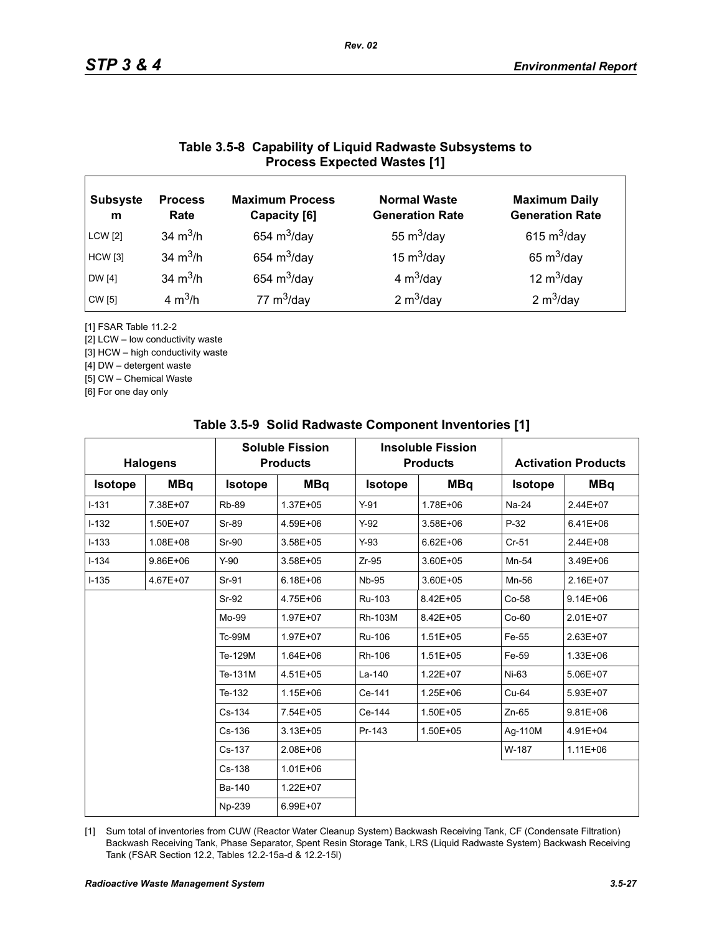## **Table 3.5-8 Capability of Liquid Radwaste Subsystems to Process Expected Wastes [1]**

| <b>Subsyste</b><br>m | <b>Process</b><br>Rate | <b>Maximum Process</b><br>Capacity [6] | <b>Normal Waste</b><br><b>Generation Rate</b> | <b>Maximum Daily</b><br><b>Generation Rate</b> |
|----------------------|------------------------|----------------------------------------|-----------------------------------------------|------------------------------------------------|
| <b>LCW</b> [2]       | 34 $m^3/h$             | 654 $m^3$ /day                         | 55 $m^3$ /day                                 | 615 $m^3$ /day                                 |
| <b>HCW</b> [3]       | 34 $m^3/h$             | 654 $m^3$ /day                         | 15 $m^3$ /day                                 | 65 $m^3$ /day                                  |
| DW [4]               | 34 $m^3/h$             | 654 $m^3$ /day                         | 4 $m^3$ /day                                  | 12 $m^3$ /day                                  |
| CW [5]               | 4 $m^3/h$              | 77 $m^3$ /day                          | 2 $m^3$ /day                                  | 2 $m^3$ /day                                   |

[1] FSAR Table 11.2-2

[2] LCW – low conductivity waste

[3] HCW – high conductivity waste

[4] DW – detergent waste

[5] CW – Chemical Waste

[6] For one day only

| <b>Halogens</b> |              | <b>Soluble Fission</b><br><b>Products</b> |              |                | <b>Insoluble Fission</b><br><b>Products</b> |                | <b>Activation Products</b> |  |
|-----------------|--------------|-------------------------------------------|--------------|----------------|---------------------------------------------|----------------|----------------------------|--|
| <b>Isotope</b>  | <b>MBq</b>   | <b>Isotope</b>                            | <b>MBq</b>   | <b>Isotope</b> | <b>MBq</b>                                  | <b>Isotope</b> | <b>MBq</b>                 |  |
| $I - 131$       | 7.38E+07     | <b>Rb-89</b>                              | 1.37E+05     | $Y-91$         | 1.78E+06                                    | Na-24          | 2.44E+07                   |  |
| $I-132$         | 1.50E+07     | <b>Sr-89</b>                              | 4.59E+06     | $Y-92$         | 3.58E+06                                    | $P-32$         | $6.41E + 06$               |  |
| $I-133$         | 1.08E+08     | <b>Sr-90</b>                              | 3.58E+05     | $Y-93$         | $6.62E + 06$                                | $Cr-51$        | 2.44E+08                   |  |
| $I - 134$       | $9.86E + 06$ | $Y-90$                                    | 3.58E+05     | $Zr-95$        | 3.60E+05                                    | Mn-54          | 3.49E+06                   |  |
| $I - 135$       | 4.67E+07     | Sr-91                                     | $6.18E + 06$ | <b>Nb-95</b>   | 3.60E+05                                    | Mn-56          | 2.16E+07                   |  |
|                 |              | Sr-92                                     | 4.75E+06     | Ru-103         | 8.42E+05                                    | Co-58          | $9.14E + 06$               |  |
|                 |              | Mo-99                                     | 1.97E+07     | Rh-103M        | 8.42E+05                                    | $Co-60$        | 2.01E+07                   |  |
|                 |              | <b>Tc-99M</b>                             | 1.97E+07     | Ru-106         | $1.51E + 05$                                | Fe-55          | 2.63E+07                   |  |
|                 |              | Te-129M                                   | 1.64E+06     | Rh-106         | $1.51E + 05$                                | Fe-59          | 1.33E+06                   |  |
|                 |              | Te-131M                                   | 4.51E+05     | La-140         | 1.22E+07                                    | $Ni-63$        | 5.06E+07                   |  |
|                 |              | Te-132                                    | $1.15E + 06$ | Ce-141         | 1.25E+06                                    | $Cu-64$        | 5.93E+07                   |  |
|                 |              | Cs-134                                    | 7.54E+05     | Ce-144         | 1.50E+05                                    | $Zn-65$        | $9.81E + 06$               |  |
|                 |              | Cs-136                                    | $3.13E + 05$ | Pr-143         | 1.50E+05                                    | Ag-110M        | 4.91E+04                   |  |
|                 |              | Cs-137                                    | 2.08E+06     |                |                                             | W-187          | $1.11E + 06$               |  |
|                 |              | Cs-138                                    | $1.01E + 06$ |                |                                             |                |                            |  |
|                 |              | Ba-140                                    | 1.22E+07     |                |                                             |                |                            |  |
|                 |              | Np-239                                    | 6.99E+07     |                |                                             |                |                            |  |

#### **Table 3.5-9 Solid Radwaste Component Inventories [1]**

[1] Sum total of inventories from CUW (Reactor Water Cleanup System) Backwash Receiving Tank, CF (Condensate Filtration) Backwash Receiving Tank, Phase Separator, Spent Resin Storage Tank, LRS (Liquid Radwaste System) Backwash Receiving Tank (FSAR Section 12.2, Tables 12.2-15a-d & 12.2-15l)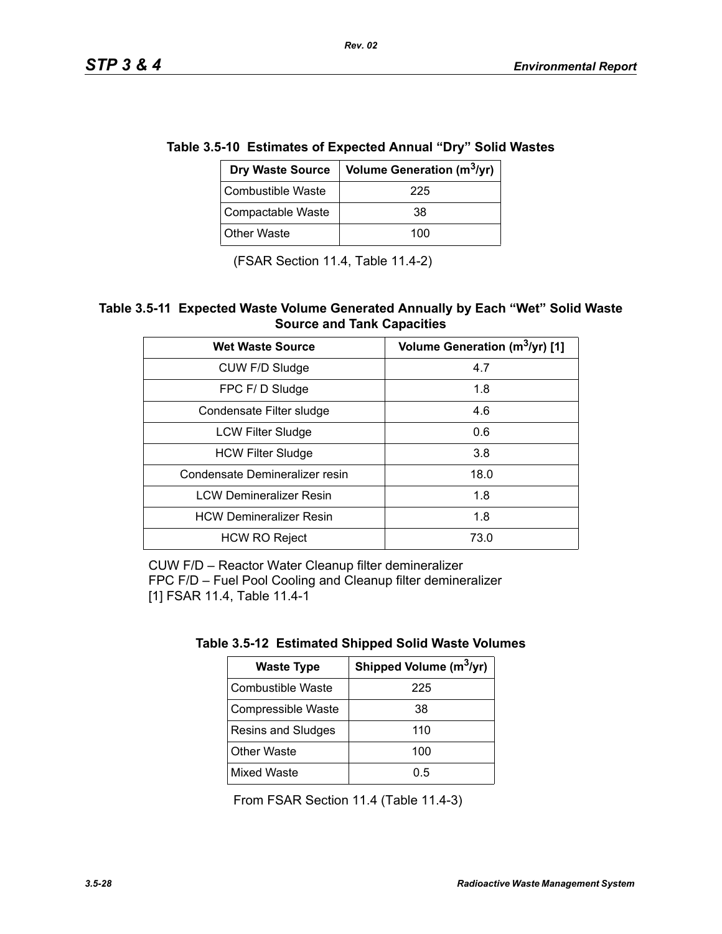|                   | ie 3.5-10 Estimates of Expected Annual "Dry" Solid Wast |  |
|-------------------|---------------------------------------------------------|--|
|                   | Dry Waste Source   Volume Generation ( $m^3$ /yr)       |  |
| Combustible Waste | 225                                                     |  |
| Compactable Waste | 38                                                      |  |

# **Table 3.5-10 Estimates of Expected Annual "Dry" Solid Wastes**

*Rev. 02*

(FSAR Section 11.4, Table 11.4-2)

Other Waste  $\vert$  100

#### **Table 3.5-11 Expected Waste Volume Generated Annually by Each "Wet" Solid Waste Source and Tank Capacities**

| <b>Wet Waste Source</b>        | Volume Generation (m <sup>3</sup> /yr) [1] |
|--------------------------------|--------------------------------------------|
| CUW F/D Sludge                 | 4.7                                        |
| FPC F/D Sludge                 | 1.8                                        |
| Condensate Filter sludge       | 4.6                                        |
| <b>LCW Filter Sludge</b>       | 0.6                                        |
| <b>HCW Filter Sludge</b>       | 3.8                                        |
| Condensate Demineralizer resin | 18.0                                       |
| <b>LCW Demineralizer Resin</b> | 1.8                                        |
| <b>HCW Demineralizer Resin</b> | 1.8                                        |
| <b>HCW RO Reject</b>           | 73.0                                       |

CUW F/D – Reactor Water Cleanup filter demineralizer FPC F/D – Fuel Pool Cooling and Cleanup filter demineralizer [1] FSAR 11.4, Table 11.4-1

| <b>Waste Type</b>        | Shipped Volume (m <sup>3</sup> /yr) |
|--------------------------|-------------------------------------|
| <b>Combustible Waste</b> | 225                                 |
| Compressible Waste       | 38                                  |
| Resins and Sludges       | 110                                 |
| <b>Other Waste</b>       | 100                                 |
| <b>Mixed Waste</b>       | 0.5                                 |

From FSAR Section 11.4 (Table 11.4-3)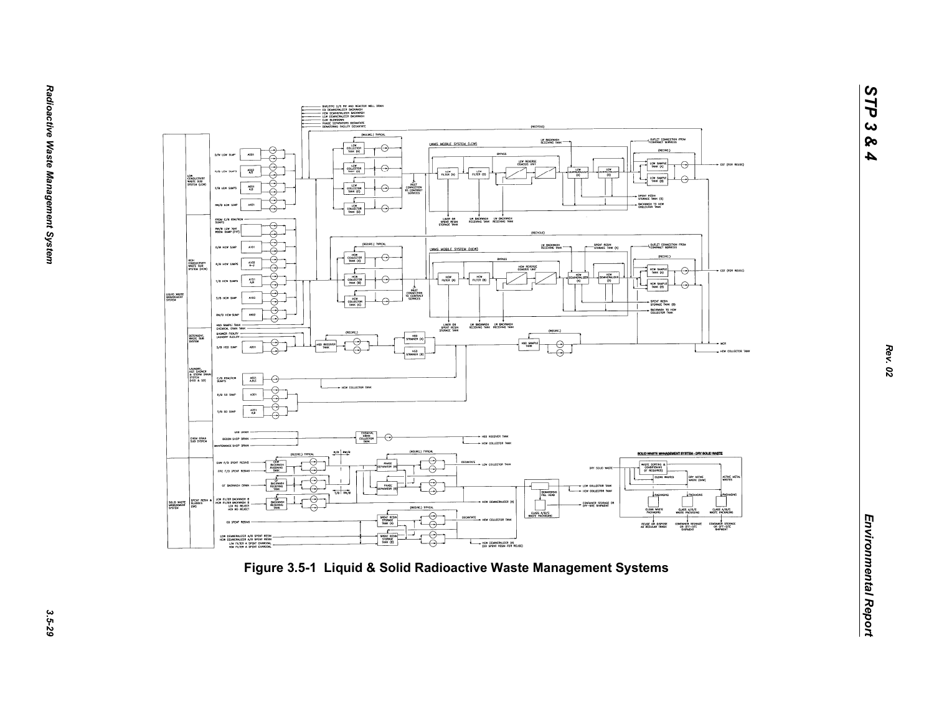

*STP 3 & 4*